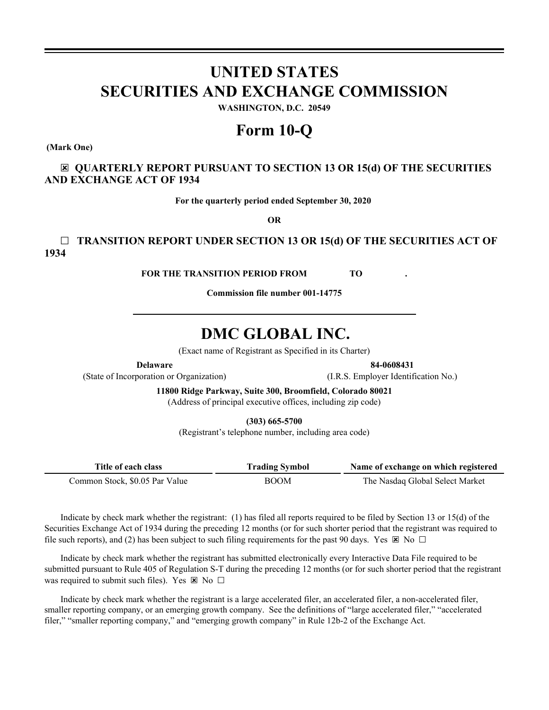# **UNITED STATES SECURITIES AND EXCHANGE COMMISSION**

**WASHINGTON, D.C. 20549**

# **Form 10-Q**

**(Mark One)**

☒ **QUARTERLY REPORT PURSUANT TO SECTION 13 OR 15(d) OF THE SECURITIES AND EXCHANGE ACT OF 1934**

**For the quarterly period ended September 30, 2020**

**OR**

☐ **TRANSITION REPORT UNDER SECTION 13 OR 15(d) OF THE SECURITIES ACT OF 1934**

**FOR THE TRANSITION PERIOD FROM TO .**

**Commission file number 001-14775**

# **DMC GLOBAL INC.**

(Exact name of Registrant as Specified in its Charter)

**Delaware 84-0608431**

(State of Incorporation or Organization) (I.R.S. Employer Identification No.)

**11800 Ridge Parkway, Suite 300, Broomfield, Colorado 80021** (Address of principal executive offices, including zip code)

**(303) 665-5700**

(Registrant's telephone number, including area code)

| Title of each class            | <b>Trading Symbol</b> | Name of exchange on which registered |
|--------------------------------|-----------------------|--------------------------------------|
| Common Stock, \$0.05 Par Value | <b>BOOM</b>           | The Nasdaq Global Select Market      |

Indicate by check mark whether the registrant: (1) has filed all reports required to be filed by Section 13 or 15(d) of the Securities Exchange Act of 1934 during the preceding 12 months (or for such shorter period that the registrant was required to file such reports), and (2) has been subject to such filing requirements for the past 90 days. Yes  $\boxtimes$  No  $\Box$ 

Indicate by check mark whether the registrant has submitted electronically every Interactive Data File required to be submitted pursuant to Rule 405 of Regulation S-T during the preceding 12 months (or for such shorter period that the registrant was required to submit such files). Yes  $\boxtimes$  No  $\Box$ 

Indicate by check mark whether the registrant is a large accelerated filer, an accelerated filer, a non-accelerated filer, smaller reporting company, or an emerging growth company. See the definitions of "large accelerated filer," "accelerated filer," "smaller reporting company," and "emerging growth company" in Rule 12b-2 of the Exchange Act.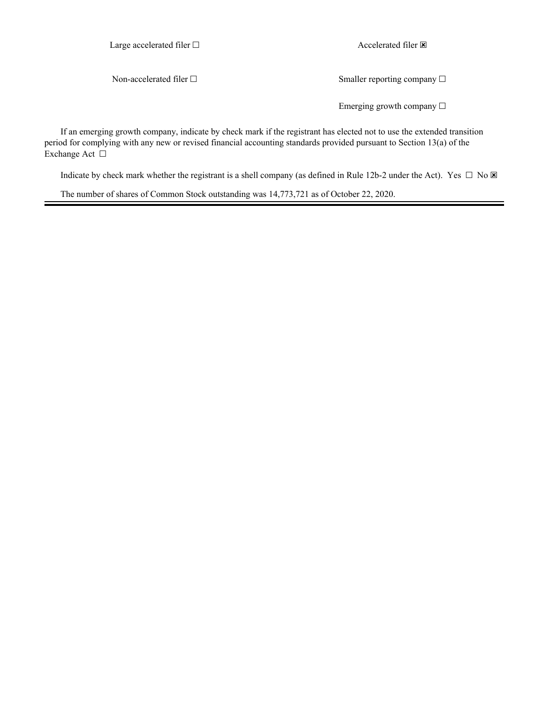Large accelerated filer □ accelerated filer **⊠** 

Non-accelerated filer □ Smaller reporting company □

Emerging growth company  $\Box$ 

If an emerging growth company, indicate by check mark if the registrant has elected not to use the extended transition period for complying with any new or revised financial accounting standards provided pursuant to Section 13(a) of the Exchange Act □

Indicate by check mark whether the registrant is a shell company (as defined in Rule 12b-2 under the Act). Yes  $\Box$  No  $\boxtimes$ 

The number of shares of Common Stock outstanding was 14,773,721 as of October 22, 2020.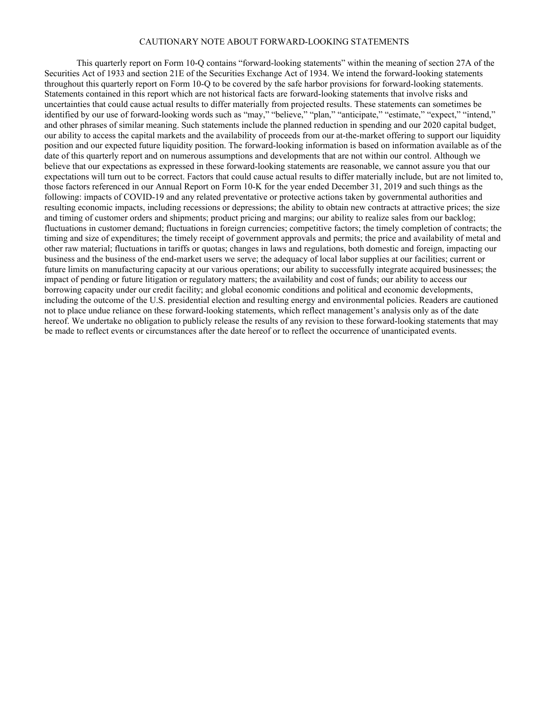# CAUTIONARY NOTE ABOUT FORWARD-LOOKING STATEMENTS

This quarterly report on Form 10-Q contains "forward-looking statements" within the meaning of section 27A of the Securities Act of 1933 and section 21E of the Securities Exchange Act of 1934. We intend the forward-looking statements throughout this quarterly report on Form 10-Q to be covered by the safe harbor provisions for forward-looking statements. Statements contained in this report which are not historical facts are forward-looking statements that involve risks and uncertainties that could cause actual results to differ materially from projected results. These statements can sometimes be identified by our use of forward-looking words such as "may," "believe," "plan," "anticipate," "estimate," "expect," "intend," and other phrases of similar meaning. Such statements include the planned reduction in spending and our 2020 capital budget, our ability to access the capital markets and the availability of proceeds from our at-the-market offering to support our liquidity position and our expected future liquidity position. The forward-looking information is based on information available as of the date of this quarterly report and on numerous assumptions and developments that are not within our control. Although we believe that our expectations as expressed in these forward-looking statements are reasonable, we cannot assure you that our expectations will turn out to be correct. Factors that could cause actual results to differ materially include, but are not limited to, those factors referenced in our Annual Report on Form 10-K for the year ended December 31, 2019 and such things as the following: impacts of COVID-19 and any related preventative or protective actions taken by governmental authorities and resulting economic impacts, including recessions or depressions; the ability to obtain new contracts at attractive prices; the size and timing of customer orders and shipments; product pricing and margins; our ability to realize sales from our backlog; fluctuations in customer demand; fluctuations in foreign currencies; competitive factors; the timely completion of contracts; the timing and size of expenditures; the timely receipt of government approvals and permits; the price and availability of metal and other raw material; fluctuations in tariffs or quotas; changes in laws and regulations, both domestic and foreign, impacting our business and the business of the end-market users we serve; the adequacy of local labor supplies at our facilities; current or future limits on manufacturing capacity at our various operations; our ability to successfully integrate acquired businesses; the impact of pending or future litigation or regulatory matters; the availability and cost of funds; our ability to access our borrowing capacity under our credit facility; and global economic conditions and political and economic developments, including the outcome of the U.S. presidential election and resulting energy and environmental policies. Readers are cautioned not to place undue reliance on these forward-looking statements, which reflect management's analysis only as of the date hereof. We undertake no obligation to publicly release the results of any revision to these forward-looking statements that may be made to reflect events or circumstances after the date hereof or to reflect the occurrence of unanticipated events.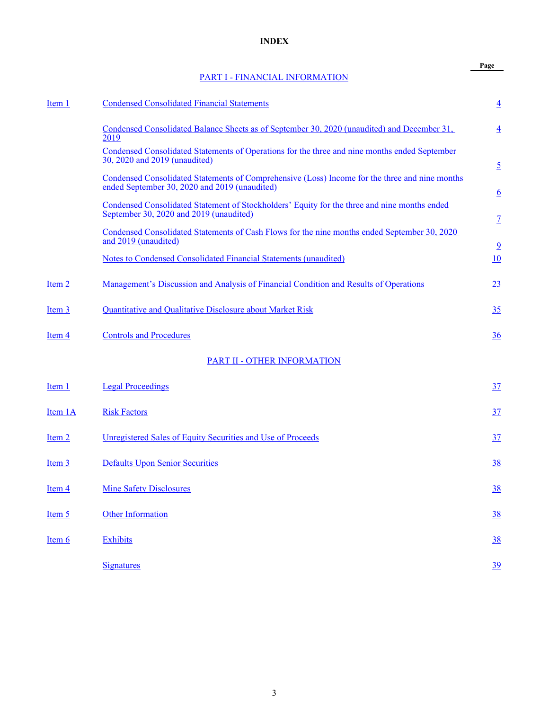# **INDEX**

# [PART I - FINANCIAL INFORMATION](#page-4-0)

**Page**

<span id="page-3-0"></span>

| Item 1  | <b>Condensed Consolidated Financial Statements</b>                                                                                              | $\overline{4}$                                                                                                  |
|---------|-------------------------------------------------------------------------------------------------------------------------------------------------|-----------------------------------------------------------------------------------------------------------------|
|         | Condensed Consolidated Balance Sheets as of September 30, 2020 (unaudited) and December 31,<br>2019                                             | $\overline{4}$                                                                                                  |
|         | Condensed Consolidated Statements of Operations for the three and nine months ended September<br>30, 2020 and 2019 (unaudited)                  | $\overline{2}$                                                                                                  |
|         | Condensed Consolidated Statements of Comprehensive (Loss) Income for the three and nine months<br>ended September 30, 2020 and 2019 (unaudited) | $6\overline{6}$                                                                                                 |
|         | Condensed Consolidated Statement of Stockholders' Equity for the three and nine months ended<br>September 30, 2020 and 2019 (unaudited)         | $\mathcal{I}% _{M_{1},M_{2}}^{\alpha,\beta}(\varepsilon)=\mathcal{I}_{M_{1},M_{2}}^{\alpha,\beta}(\varepsilon)$ |
|         | Condensed Consolidated Statements of Cash Flows for the nine months ended September 30, 2020<br>and 2019 (unaudited)                            |                                                                                                                 |
|         | Notes to Condensed Consolidated Financial Statements (unaudited)                                                                                | $\overline{9}$<br>10                                                                                            |
| Item 2  | Management's Discussion and Analysis of Financial Condition and Results of Operations                                                           | 23                                                                                                              |
| Item 3  | Quantitative and Qualitative Disclosure about Market Risk                                                                                       | 35                                                                                                              |
| Item 4  | <b>Controls and Procedures</b>                                                                                                                  | 36                                                                                                              |
|         | PART II - OTHER INFORMATION                                                                                                                     |                                                                                                                 |
| Item 1  | <b>Legal Proceedings</b>                                                                                                                        | $\frac{37}{2}$                                                                                                  |
| Item 1A | <b>Risk Factors</b>                                                                                                                             | 37                                                                                                              |
| Item 2  | Unregistered Sales of Equity Securities and Use of Proceeds                                                                                     | 37                                                                                                              |
| Item 3  | <b>Defaults Upon Senior Securities</b>                                                                                                          | <u>38</u>                                                                                                       |
| Item 4  | <b>Mine Safety Disclosures</b>                                                                                                                  | <u>38</u>                                                                                                       |
| Item 5  | <b>Other Information</b>                                                                                                                        | <u>38</u>                                                                                                       |
| Item 6  | <b>Exhibits</b>                                                                                                                                 | 38                                                                                                              |
|         | <b>Signatures</b>                                                                                                                               | $\underline{39}$                                                                                                |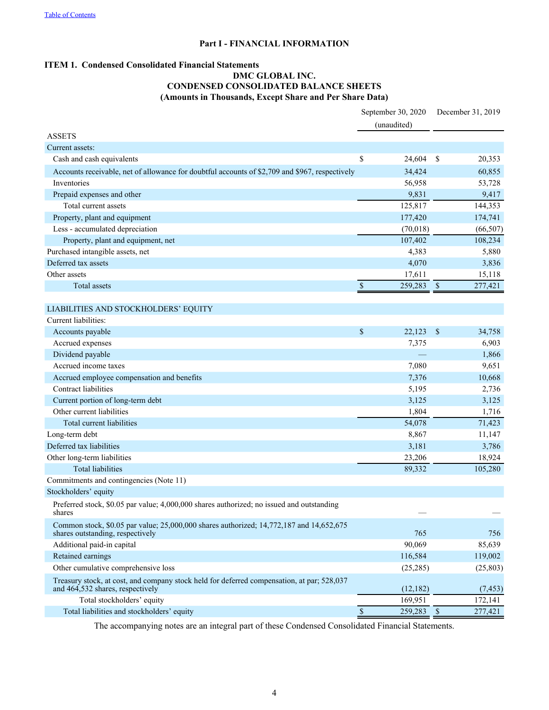# **Part I - FINANCIAL INFORMATION**

# <span id="page-4-0"></span>**ITEM 1. Condensed Consolidated Financial Statements**

# **DMC GLOBAL INC. CONDENSED CONSOLIDATED BALANCE SHEETS (Amounts in Thousands, Except Share and Per Share Data)**

|                                                                                                                                |                           | September 30, 2020<br>(unaudited) |                           | December 31, 2019 |
|--------------------------------------------------------------------------------------------------------------------------------|---------------------------|-----------------------------------|---------------------------|-------------------|
| <b>ASSETS</b>                                                                                                                  |                           |                                   |                           |                   |
| Current assets:                                                                                                                |                           |                                   |                           |                   |
| Cash and cash equivalents                                                                                                      | \$                        | 24,604                            | \$                        | 20,353            |
| Accounts receivable, net of allowance for doubtful accounts of \$2,709 and \$967, respectively                                 |                           | 34,424                            |                           | 60,855            |
| Inventories                                                                                                                    |                           | 56,958                            |                           | 53,728            |
| Prepaid expenses and other                                                                                                     |                           | 9,831                             |                           | 9,417             |
| Total current assets                                                                                                           |                           | 125,817                           |                           | 144,353           |
| Property, plant and equipment                                                                                                  |                           | 177,420                           |                           | 174,741           |
| Less - accumulated depreciation                                                                                                |                           | (70,018)                          |                           | (66, 507)         |
| Property, plant and equipment, net                                                                                             |                           | 107,402                           |                           | 108,234           |
| Purchased intangible assets, net                                                                                               |                           | 4,383                             |                           | 5,880             |
| Deferred tax assets                                                                                                            |                           | 4,070                             |                           | 3,836             |
| Other assets                                                                                                                   |                           | 17,611                            |                           | 15,118            |
| Total assets                                                                                                                   | $\boldsymbol{\mathsf{S}}$ | 259,283                           | $\boldsymbol{\mathsf{S}}$ | 277,421           |
|                                                                                                                                |                           |                                   |                           |                   |
| LIABILITIES AND STOCKHOLDERS' EQUITY                                                                                           |                           |                                   |                           |                   |
| Current liabilities:                                                                                                           |                           |                                   |                           |                   |
| Accounts payable                                                                                                               | \$                        | 22,123                            | $\mathcal{S}$             | 34,758            |
| Accrued expenses                                                                                                               |                           | 7,375                             |                           | 6,903             |
| Dividend payable                                                                                                               |                           |                                   |                           | 1,866             |
| Accrued income taxes                                                                                                           |                           | 7,080                             |                           | 9,651             |
| Accrued employee compensation and benefits                                                                                     |                           | 7,376                             |                           | 10,668            |
| Contract liabilities                                                                                                           |                           | 5,195                             |                           | 2,736             |
| Current portion of long-term debt                                                                                              |                           | 3,125                             |                           | 3,125             |
| Other current liabilities                                                                                                      |                           | 1,804                             |                           | 1,716             |
| Total current liabilities                                                                                                      |                           | 54,078                            |                           | 71,423            |
| Long-term debt                                                                                                                 |                           | 8,867                             |                           | 11,147            |
| Deferred tax liabilities                                                                                                       |                           | 3,181                             |                           | 3,786             |
| Other long-term liabilities                                                                                                    |                           | 23,206                            |                           | 18,924            |
| <b>Total liabilities</b>                                                                                                       |                           | 89,332                            |                           | 105,280           |
| Commitments and contingencies (Note 11)                                                                                        |                           |                                   |                           |                   |
| Stockholders' equity                                                                                                           |                           |                                   |                           |                   |
| Preferred stock, \$0.05 par value; 4,000,000 shares authorized; no issued and outstanding<br>shares                            |                           |                                   |                           |                   |
| Common stock, \$0.05 par value; 25,000,000 shares authorized; 14,772,187 and 14,652,675<br>shares outstanding, respectively    |                           | 765                               |                           | 756               |
| Additional paid-in capital                                                                                                     |                           | 90,069                            |                           | 85,639            |
| Retained earnings                                                                                                              |                           | 116,584                           |                           | 119,002           |
| Other cumulative comprehensive loss                                                                                            |                           | (25, 285)                         |                           | (25, 803)         |
| Treasury stock, at cost, and company stock held for deferred compensation, at par; 528,037<br>and 464,532 shares, respectively |                           | (12, 182)                         |                           | (7, 453)          |
| Total stockholders' equity                                                                                                     |                           | 169,951                           |                           | 172,141           |
| Total liabilities and stockholders' equity                                                                                     | $\mathbb S$               | 259,283                           | $\mathbf{\hat{s}}$        | 277,421           |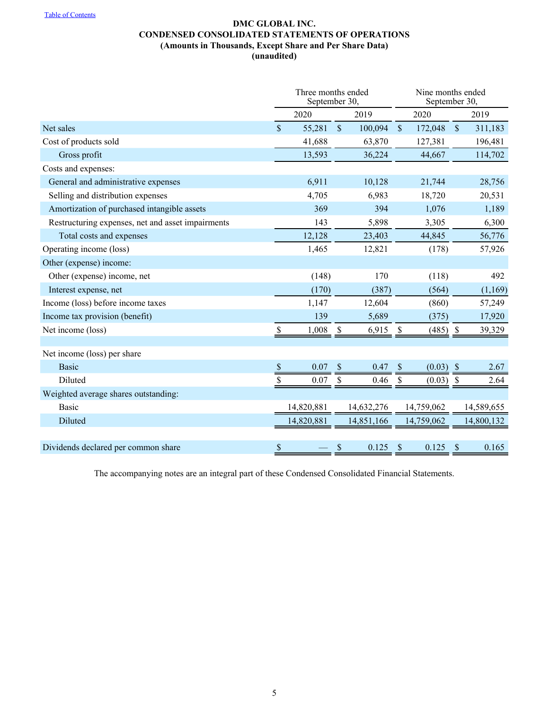# **DMC GLOBAL INC. CONDENSED CONSOLIDATED STATEMENTS OF OPERATIONS (Amounts in Thousands, Except Share and Per Share Data) (unaudited)**

<span id="page-5-0"></span>

|                                                   | Three months ended<br>September 30, |            |                           |            |              | Nine months ended<br>September 30, |                           |            |
|---------------------------------------------------|-------------------------------------|------------|---------------------------|------------|--------------|------------------------------------|---------------------------|------------|
|                                                   |                                     | 2020       |                           | 2019       |              | 2020                               |                           | 2019       |
| Net sales                                         | $\mathbf{\hat{S}}$                  | 55,281     | $\mathcal{S}$             | 100,094    | $\mathbb{S}$ | 172,048                            | $\mathcal{S}$             | 311,183    |
| Cost of products sold                             |                                     | 41,688     |                           | 63,870     |              | 127,381                            |                           | 196,481    |
| Gross profit                                      |                                     | 13,593     |                           | 36,224     |              | 44,667                             |                           | 114,702    |
| Costs and expenses:                               |                                     |            |                           |            |              |                                    |                           |            |
| General and administrative expenses               |                                     | 6,911      |                           | 10,128     |              | 21,744                             |                           | 28,756     |
| Selling and distribution expenses                 |                                     | 4,705      |                           | 6,983      |              | 18,720                             |                           | 20,531     |
| Amortization of purchased intangible assets       |                                     | 369        |                           | 394        |              | 1,076                              |                           | 1,189      |
| Restructuring expenses, net and asset impairments |                                     | 143        |                           | 5,898      |              | 3,305                              |                           | 6,300      |
| Total costs and expenses                          |                                     | 12,128     |                           | 23,403     |              | 44,845                             |                           | 56,776     |
| Operating income (loss)                           |                                     | 1,465      |                           | 12,821     |              | (178)                              |                           | 57,926     |
| Other (expense) income:                           |                                     |            |                           |            |              |                                    |                           |            |
| Other (expense) income, net                       |                                     | (148)      |                           | 170        |              | (118)                              |                           | 492        |
| Interest expense, net                             |                                     | (170)      |                           | (387)      |              | (564)                              |                           | (1,169)    |
| Income (loss) before income taxes                 |                                     | 1,147      |                           | 12,604     |              | (860)                              |                           | 57,249     |
| Income tax provision (benefit)                    |                                     | 139        |                           | 5,689      |              | (375)                              |                           | 17,920     |
| Net income (loss)                                 | \$                                  | 1,008      | $\boldsymbol{\mathsf{S}}$ | 6,915      | \$           | (485)                              | $\boldsymbol{\mathsf{S}}$ | 39,329     |
|                                                   |                                     |            |                           |            |              |                                    |                           |            |
| Net income (loss) per share                       |                                     |            |                           |            |              |                                    |                           |            |
| <b>Basic</b>                                      | $\$$                                | 0.07       | <sup>\$</sup>             | 0.47       | S            | $(0.03)$ \$                        |                           | 2.67       |
| Diluted                                           | \$                                  | 0.07       | \$                        | 0.46       | \$           | (0.03)                             | $\boldsymbol{\mathsf{S}}$ | 2.64       |
| Weighted average shares outstanding:              |                                     |            |                           |            |              |                                    |                           |            |
| <b>Basic</b>                                      |                                     | 14,820,881 |                           | 14,632,276 |              | 14,759,062                         |                           | 14,589,655 |
| Diluted                                           |                                     | 14,820,881 |                           | 14,851,166 |              | 14,759,062                         |                           | 14,800,132 |
|                                                   |                                     |            |                           |            |              |                                    |                           |            |
| Dividends declared per common share               | \$                                  |            | \$                        | 0.125      | $\sqrt{\ }$  | 0.125                              | $\boldsymbol{\mathsf{S}}$ | 0.165      |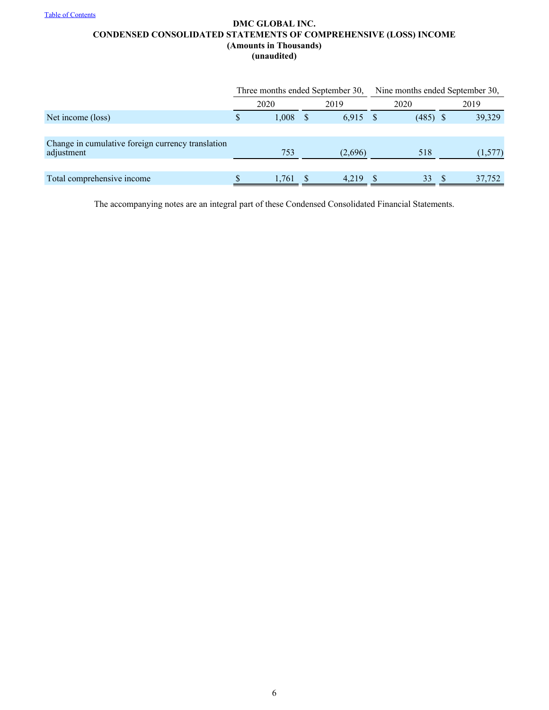# <span id="page-6-0"></span>**DMC GLOBAL INC. CONDENSED CONSOLIDATED STATEMENTS OF COMPREHENSIVE (LOSS) INCOME (Amounts in Thousands) (unaudited)**

|                                                                 |       | Three months ended September 30, | Nine months ended September 30, |            |  |         |  |  |
|-----------------------------------------------------------------|-------|----------------------------------|---------------------------------|------------|--|---------|--|--|
|                                                                 | 2020  | 2019                             |                                 | 2020       |  | 2019    |  |  |
| Net income (loss)                                               | 1,008 | 6.915                            |                                 | $(485)$ \$ |  | 39,329  |  |  |
|                                                                 |       |                                  |                                 |            |  |         |  |  |
| Change in cumulative foreign currency translation<br>adjustment | 753   | (2,696)                          |                                 | 518        |  | (1,577) |  |  |
|                                                                 |       |                                  |                                 |            |  |         |  |  |
| Total comprehensive income                                      | 1.761 | 4.219                            |                                 | 33         |  | 37,752  |  |  |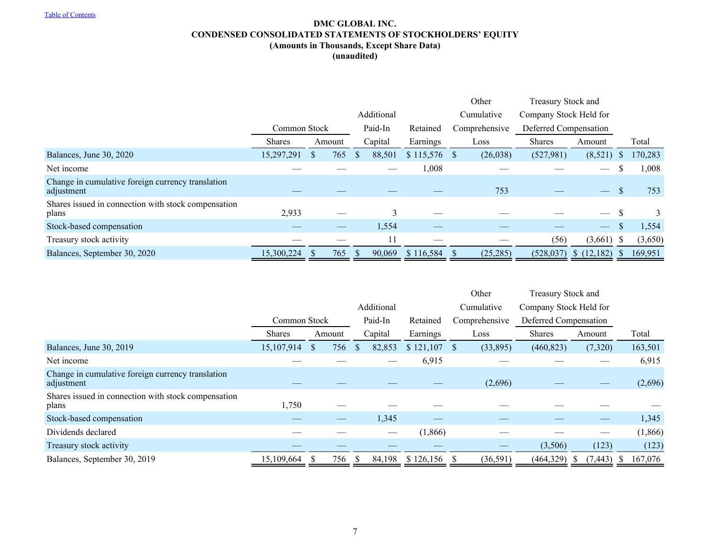# **DMC GLOBAL INC. CONDENSED CONSOLIDATED STATEMENTS OF STOCKHOLDERS' EQUITY (Amounts in Thousands, Except Share Data) (unaudited)**

<span id="page-7-0"></span>

|                                                                 |               |        |     |            |         |                  |  | Other                  | Treasury Stock and    |                          |               |         |
|-----------------------------------------------------------------|---------------|--------|-----|------------|---------|------------------|--|------------------------|-----------------------|--------------------------|---------------|---------|
|                                                                 |               |        |     | Additional |         | Cumulative       |  | Company Stock Held for |                       |                          |               |         |
|                                                                 | Common Stock  |        |     | Paid-In    |         | Retained         |  | Comprehensive          | Deferred Compensation |                          |               |         |
|                                                                 | <b>Shares</b> | Amount |     |            | Capital | Earnings         |  | Loss                   | <b>Shares</b>         | Amount                   |               | Total   |
| Balances, June 30, 2020                                         | 15,297,291    | S      | 765 | -S         | 88,501  | $$115,576$ \, \$ |  | (26,038)               | (527,981)             | (8,521)                  | <sup>S</sup>  | 170,283 |
| Net income                                                      |               |        |     |            |         | 1,008            |  |                        |                       | $\hspace{0.05cm}$        |               | 1,008   |
| Change in cumulative foreign currency translation<br>adjustment |               |        |     |            |         |                  |  | 753                    |                       | $\overline{\phantom{m}}$ | <sup>\$</sup> | 753     |
| Shares issued in connection with stock compensation<br>plans    | 2,933         |        |     |            | 3       |                  |  |                        |                       | $\qquad \qquad$          |               |         |
| Stock-based compensation                                        |               |        |     |            | 1,554   |                  |  |                        |                       | $\hspace{0.05cm}$        |               | 1,554   |
| Treasury stock activity                                         |               |        |     |            | $\perp$ |                  |  |                        | (56)                  | $(3,661)$ \$             |               | (3,650) |
| Balances, September 30, 2020                                    | 15,300,224    |        | 765 | -S         | 90,069  | \$116,584        |  | (25, 285)              | (528, 037)            | \$(12,182)               |               | 169,951 |

|                                                                 |               |  |        |         |         | Other     | Treasury Stock and |           |                        |          |    |         |
|-----------------------------------------------------------------|---------------|--|--------|---------|---------|-----------|--------------------|-----------|------------------------|----------|----|---------|
|                                                                 |               |  |        |         |         |           | Cumulative         |           | Company Stock Held for |          |    |         |
|                                                                 | Common Stock  |  |        | Paid-In |         | Retained  | Comprehensive      |           | Deferred Compensation  |          |    |         |
|                                                                 | <b>Shares</b> |  | Amount |         | Capital | Earnings  |                    | Loss      | <b>Shares</b>          | Amount   |    | Total   |
| Balances, June 30, 2019                                         | 15,107,914    |  | 756    | S       | 82,853  | \$121,107 | <sup>S</sup>       | (33,895)  | (460, 823)             | (7,320)  |    | 163,501 |
| Net income                                                      |               |  |        |         |         | 6,915     |                    |           |                        |          |    | 6,915   |
| Change in cumulative foreign currency translation<br>adjustment |               |  |        |         |         |           |                    | (2,696)   |                        |          |    | (2,696) |
| Shares issued in connection with stock compensation<br>plans    | 1,750         |  |        |         |         |           |                    |           |                        |          |    |         |
| Stock-based compensation                                        |               |  |        |         | 1,345   |           |                    |           |                        |          |    | 1,345   |
| Dividends declared                                              |               |  |        |         |         | (1,866)   |                    |           |                        |          |    | (1,866) |
| Treasury stock activity                                         |               |  |        |         |         |           |                    |           | (3,506)                | (123)    |    | (123)   |
| Balances, September 30, 2019                                    | 15,109,664    |  | 756    |         | 84,198  | \$126,156 |                    | (36, 591) | (464,329)              | (7, 443) | -8 | 167,076 |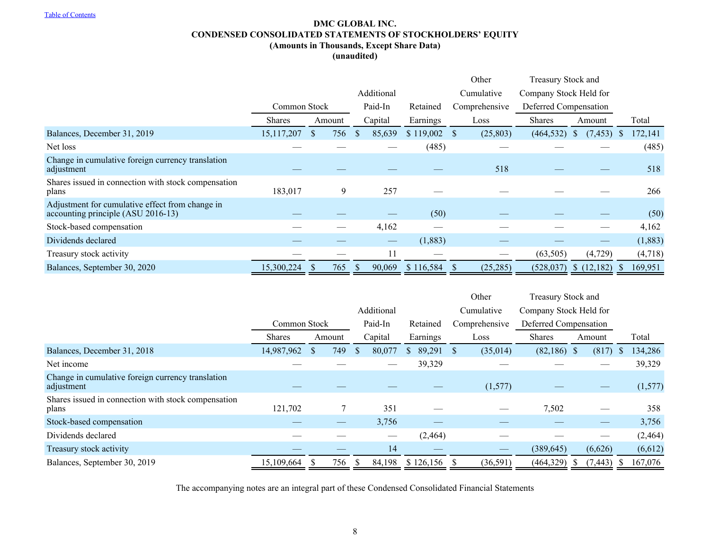# **DMC GLOBAL INC. CONDENSED CONSOLIDATED STATEMENTS OF STOCKHOLDERS' EQUITY (Amounts in Thousands, Except Share Data)**

**(unaudited)**

|                                                                                       |               |                     |              |            |           |                           |                        | Treasury Stock and       |              |         |  |
|---------------------------------------------------------------------------------------|---------------|---------------------|--------------|------------|-----------|---------------------------|------------------------|--------------------------|--------------|---------|--|
|                                                                                       |               |                     |              | Additional |           | Cumulative                | Company Stock Held for |                          |              |         |  |
|                                                                                       | Common Stock  |                     |              | Paid-In    | Retained  | Comprehensive             | Deferred Compensation  |                          |              |         |  |
|                                                                                       | <b>Shares</b> | Amount              |              | Capital    | Earnings  | Loss                      | <b>Shares</b>          | Amount                   |              | Total   |  |
| Balances, December 31, 2019                                                           | 15,117,207    | 756<br><sup>2</sup> | <sup>S</sup> | 85,639     | \$119,002 | (25, 803)<br><sup>S</sup> | (464, 532)             | (7, 453)<br><sup>3</sup> | <sup>S</sup> | 172,141 |  |
| Net loss                                                                              |               |                     |              |            | (485)     |                           |                        |                          |              | (485)   |  |
| Change in cumulative foreign currency translation<br>adjustment                       |               |                     |              |            |           | 518                       |                        |                          |              | 518     |  |
| Shares issued in connection with stock compensation<br>plans                          | 183,017       |                     | 9            | 257        |           |                           |                        |                          |              | 266     |  |
| Adjustment for cumulative effect from change in<br>accounting principle (ASU 2016-13) |               |                     |              |            | (50)      |                           |                        |                          |              | (50)    |  |
| Stock-based compensation                                                              |               |                     |              | 4,162      |           |                           |                        |                          |              | 4,162   |  |
| Dividends declared                                                                    |               |                     |              | --         | (1,883)   |                           |                        |                          |              | (1,883) |  |
| Treasury stock activity                                                               |               |                     |              | 11         |           |                           | (63, 505)              | (4,729)                  |              | (4,718) |  |
| Balances, September 30, 2020                                                          | 15,300,224    | 765                 |              | 90,069     | \$116,584 | (25, 285)<br><sup>S</sup> | (528, 037)             | \$(12,182)               |              | 169,951 |  |

|                                                                 |               |              |               |            |           | Other         |                        | Treasury Stock and |   |          |  |
|-----------------------------------------------------------------|---------------|--------------|---------------|------------|-----------|---------------|------------------------|--------------------|---|----------|--|
|                                                                 |               |              |               | Additional |           | Cumulative    | Company Stock Held for |                    |   |          |  |
|                                                                 |               | Common Stock |               |            | Retained  | Comprehensive | Deferred Compensation  |                    |   |          |  |
|                                                                 | <b>Shares</b> | Amount       |               | Capital    | Earnings  | Loss          | <b>Shares</b>          | Amount             |   | Total    |  |
| Balances, December 31, 2018                                     | 14,987,962    | 749          | <sup>\$</sup> | 80,077     | 89,291    | (35,014)<br>S | $(82,186)$ \$          | (817)              | S | 134,286  |  |
| Net income                                                      |               |              |               |            | 39,329    |               |                        |                    |   | 39,329   |  |
| Change in cumulative foreign currency translation<br>adjustment |               |              |               |            |           | (1,577)       |                        |                    |   | (1,577)  |  |
| Shares issued in connection with stock compensation<br>plans    | 121,702       |              |               | 351        |           |               | 7,502                  |                    |   | 358      |  |
| Stock-based compensation                                        |               |              |               | 3,756      |           |               |                        |                    |   | 3,756    |  |
| Dividends declared                                              |               |              |               |            | (2, 464)  |               |                        |                    |   | (2, 464) |  |
| Treasury stock activity                                         |               |              |               | 14         |           |               | (389, 645)             | (6,626)            |   | (6,612)  |  |
| Balances, September 30, 2019                                    | 15,109,664    | 756          |               | 84,198     | \$126,156 | (36, 591)     | (464,329)              | (7, 443)           |   | 167,076  |  |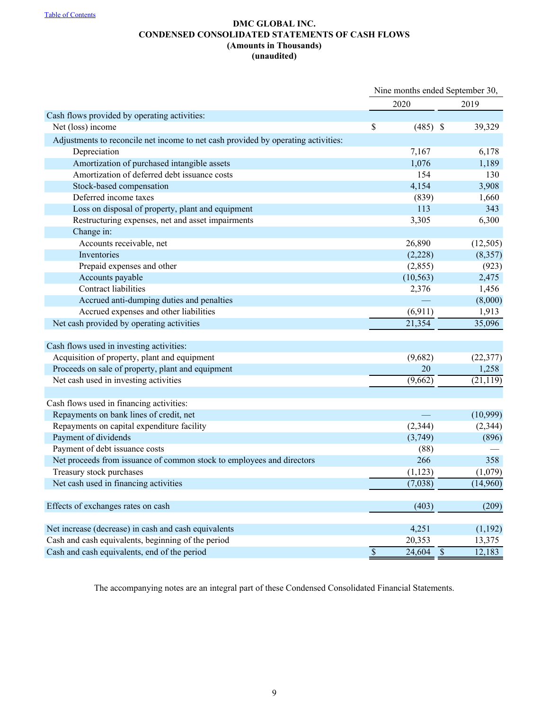# **DMC GLOBAL INC. CONDENSED CONSOLIDATED STATEMENTS OF CASH FLOWS (Amounts in Thousands) (unaudited)**

<span id="page-9-0"></span>

|                                                                                   |                 |             | Nine months ended September 30, |           |  |
|-----------------------------------------------------------------------------------|-----------------|-------------|---------------------------------|-----------|--|
|                                                                                   |                 | 2020        |                                 | 2019      |  |
| Cash flows provided by operating activities:                                      |                 |             |                                 |           |  |
| Net (loss) income                                                                 | S               | $(485)$ \$  |                                 | 39,329    |  |
| Adjustments to reconcile net income to net cash provided by operating activities: |                 |             |                                 |           |  |
| Depreciation                                                                      |                 | 7,167       |                                 | 6,178     |  |
| Amortization of purchased intangible assets                                       |                 | 1,076       |                                 | 1,189     |  |
| Amortization of deferred debt issuance costs                                      |                 | 154         |                                 | 130       |  |
| Stock-based compensation                                                          |                 | 4,154       |                                 | 3,908     |  |
| Deferred income taxes                                                             |                 | (839)       |                                 | 1,660     |  |
| Loss on disposal of property, plant and equipment                                 |                 | 113         |                                 | 343       |  |
| Restructuring expenses, net and asset impairments                                 |                 | 3,305       |                                 | 6,300     |  |
| Change in:                                                                        |                 |             |                                 |           |  |
| Accounts receivable, net                                                          |                 | 26,890      |                                 | (12, 505) |  |
| Inventories                                                                       |                 | (2,228)     |                                 | (8,357)   |  |
| Prepaid expenses and other                                                        |                 | (2,855)     |                                 | (923)     |  |
| Accounts payable                                                                  |                 | (10, 563)   |                                 | 2,475     |  |
| Contract liabilities                                                              |                 | 2,376       |                                 | 1,456     |  |
| Accrued anti-dumping duties and penalties                                         |                 |             |                                 | (8,000)   |  |
| Accrued expenses and other liabilities                                            |                 | (6,911)     |                                 | 1,913     |  |
| Net cash provided by operating activities                                         |                 | 21,354      |                                 | 35,096    |  |
|                                                                                   |                 |             |                                 |           |  |
| Cash flows used in investing activities:                                          |                 |             |                                 |           |  |
| Acquisition of property, plant and equipment                                      |                 | (9,682)     |                                 | (22, 377) |  |
| Proceeds on sale of property, plant and equipment                                 |                 | 20          |                                 | 1,258     |  |
| Net cash used in investing activities                                             |                 | (9,662)     |                                 | (21, 119) |  |
| Cash flows used in financing activities:                                          |                 |             |                                 |           |  |
| Repayments on bank lines of credit, net                                           |                 |             |                                 |           |  |
|                                                                                   |                 |             |                                 | (10,999)  |  |
| Repayments on capital expenditure facility                                        |                 | (2, 344)    |                                 | (2, 344)  |  |
| Payment of dividends                                                              |                 | (3,749)     |                                 | (896)     |  |
| Payment of debt issuance costs                                                    |                 | (88)<br>266 |                                 |           |  |
| Net proceeds from issuance of common stock to employees and directors             |                 |             |                                 | 358       |  |
| Treasury stock purchases                                                          |                 | (1, 123)    |                                 | (1,079)   |  |
| Net cash used in financing activities                                             |                 | (7,038)     |                                 | (14,960)  |  |
| Effects of exchanges rates on cash                                                |                 | (403)       |                                 | (209)     |  |
|                                                                                   |                 |             |                                 |           |  |
| Net increase (decrease) in cash and cash equivalents                              |                 | 4,251       |                                 | (1,192)   |  |
| Cash and cash equivalents, beginning of the period                                |                 | 20,353      |                                 | 13,375    |  |
| Cash and cash equivalents, end of the period                                      | $\overline{\$}$ | 24,604      | $\overline{\$}$                 | 12,183    |  |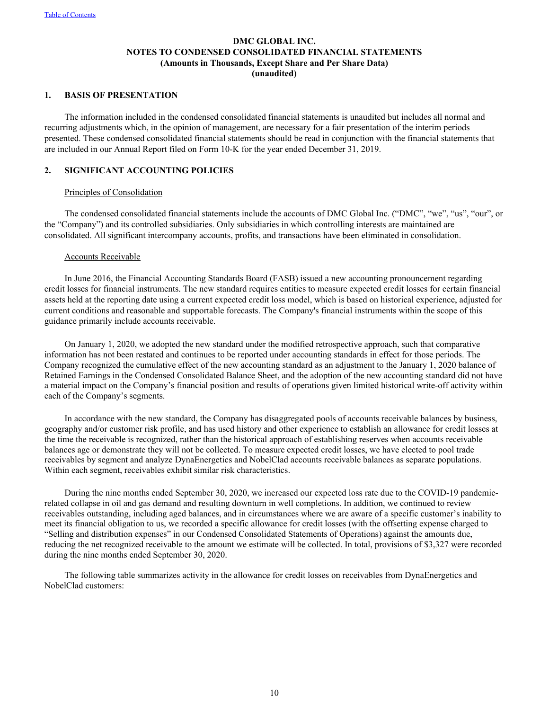# **DMC GLOBAL INC. NOTES TO CONDENSED CONSOLIDATED FINANCIAL STATEMENTS (Amounts in Thousands, Except Share and Per Share Data) (unaudited)**

## <span id="page-10-0"></span>**1. BASIS OF PRESENTATION**

The information included in the condensed consolidated financial statements is unaudited but includes all normal and recurring adjustments which, in the opinion of management, are necessary for a fair presentation of the interim periods presented. These condensed consolidated financial statements should be read in conjunction with the financial statements that are included in our Annual Report filed on Form 10-K for the year ended December 31, 2019.

# **2. SIGNIFICANT ACCOUNTING POLICIES**

## Principles of Consolidation

The condensed consolidated financial statements include the accounts of DMC Global Inc. ("DMC", "we", "us", "our", or the "Company") and its controlled subsidiaries. Only subsidiaries in which controlling interests are maintained are consolidated. All significant intercompany accounts, profits, and transactions have been eliminated in consolidation.

# Accounts Receivable

In June 2016, the Financial Accounting Standards Board (FASB) issued a new accounting pronouncement regarding credit losses for financial instruments. The new standard requires entities to measure expected credit losses for certain financial assets held at the reporting date using a current expected credit loss model, which is based on historical experience, adjusted for current conditions and reasonable and supportable forecasts. The Company's financial instruments within the scope of this guidance primarily include accounts receivable.

On January 1, 2020, we adopted the new standard under the modified retrospective approach, such that comparative information has not been restated and continues to be reported under accounting standards in effect for those periods. The Company recognized the cumulative effect of the new accounting standard as an adjustment to the January 1, 2020 balance of Retained Earnings in the Condensed Consolidated Balance Sheet, and the adoption of the new accounting standard did not have a material impact on the Company's financial position and results of operations given limited historical write-off activity within each of the Company's segments.

In accordance with the new standard, the Company has disaggregated pools of accounts receivable balances by business, geography and/or customer risk profile, and has used history and other experience to establish an allowance for credit losses at the time the receivable is recognized, rather than the historical approach of establishing reserves when accounts receivable balances age or demonstrate they will not be collected. To measure expected credit losses, we have elected to pool trade receivables by segment and analyze DynaEnergetics and NobelClad accounts receivable balances as separate populations. Within each segment, receivables exhibit similar risk characteristics.

During the nine months ended September 30, 2020, we increased our expected loss rate due to the COVID-19 pandemicrelated collapse in oil and gas demand and resulting downturn in well completions. In addition, we continued to review receivables outstanding, including aged balances, and in circumstances where we are aware of a specific customer's inability to meet its financial obligation to us, we recorded a specific allowance for credit losses (with the offsetting expense charged to "Selling and distribution expenses" in our Condensed Consolidated Statements of Operations) against the amounts due, reducing the net recognized receivable to the amount we estimate will be collected. In total, provisions of \$3,327 were recorded during the nine months ended September 30, 2020.

The following table summarizes activity in the allowance for credit losses on receivables from DynaEnergetics and NobelClad customers: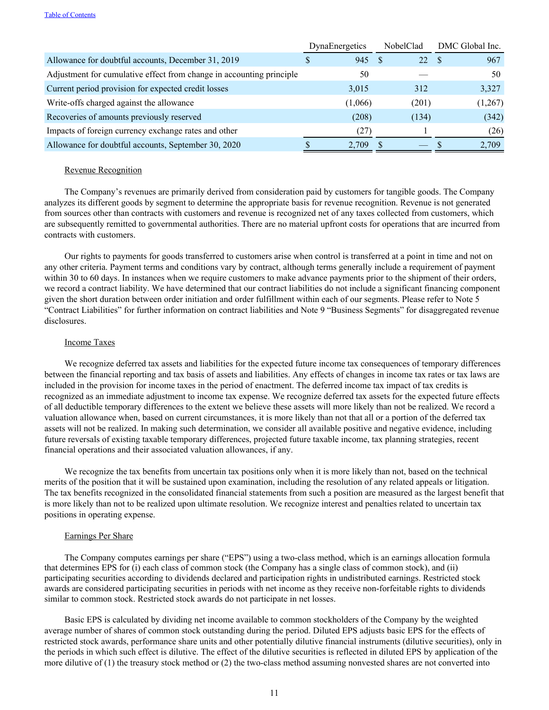|                                                                      | DynaEnergetics | NobelClad | DMC Global Inc. |
|----------------------------------------------------------------------|----------------|-----------|-----------------|
| Allowance for doubtful accounts, December 31, 2019                   | 945<br>S       | 22S       | 967             |
| Adjustment for cumulative effect from change in accounting principle | 50             |           | 50              |
| Current period provision for expected credit losses                  | 3,015          | 312       | 3,327           |
| Write-offs charged against the allowance                             | (1,066)        | (201)     | (1,267)         |
| Recoveries of amounts previously reserved                            | (208)          | (134)     | (342)           |
| Impacts of foreign currency exchange rates and other                 | (27)           |           | (26)            |
| Allowance for doubtful accounts, September 30, 2020                  | 2,709          | -8        | 2,709           |

#### Revenue Recognition

The Company's revenues are primarily derived from consideration paid by customers for tangible goods. The Company analyzes its different goods by segment to determine the appropriate basis for revenue recognition. Revenue is not generated from sources other than contracts with customers and revenue is recognized net of any taxes collected from customers, which are subsequently remitted to governmental authorities. There are no material upfront costs for operations that are incurred from contracts with customers.

Our rights to payments for goods transferred to customers arise when control is transferred at a point in time and not on any other criteria. Payment terms and conditions vary by contract, although terms generally include a requirement of payment within 30 to 60 days. In instances when we require customers to make advance payments prior to the shipment of their orders, we record a contract liability. We have determined that our contract liabilities do not include a significant financing component given the short duration between order initiation and order fulfillment within each of our segments. Please refer to Note 5 "Contract Liabilities" for further information on contract liabilities and Note 9 "Business Segments" for disaggregated revenue disclosures.

### Income Taxes

We recognize deferred tax assets and liabilities for the expected future income tax consequences of temporary differences between the financial reporting and tax basis of assets and liabilities. Any effects of changes in income tax rates or tax laws are included in the provision for income taxes in the period of enactment. The deferred income tax impact of tax credits is recognized as an immediate adjustment to income tax expense. We recognize deferred tax assets for the expected future effects of all deductible temporary differences to the extent we believe these assets will more likely than not be realized. We record a valuation allowance when, based on current circumstances, it is more likely than not that all or a portion of the deferred tax assets will not be realized. In making such determination, we consider all available positive and negative evidence, including future reversals of existing taxable temporary differences, projected future taxable income, tax planning strategies, recent financial operations and their associated valuation allowances, if any.

We recognize the tax benefits from uncertain tax positions only when it is more likely than not, based on the technical merits of the position that it will be sustained upon examination, including the resolution of any related appeals or litigation. The tax benefits recognized in the consolidated financial statements from such a position are measured as the largest benefit that is more likely than not to be realized upon ultimate resolution. We recognize interest and penalties related to uncertain tax positions in operating expense.

#### Earnings Per Share

The Company computes earnings per share ("EPS") using a two-class method, which is an earnings allocation formula that determines EPS for (i) each class of common stock (the Company has a single class of common stock), and (ii) participating securities according to dividends declared and participation rights in undistributed earnings. Restricted stock awards are considered participating securities in periods with net income as they receive non-forfeitable rights to dividends similar to common stock. Restricted stock awards do not participate in net losses.

Basic EPS is calculated by dividing net income available to common stockholders of the Company by the weighted average number of shares of common stock outstanding during the period. Diluted EPS adjusts basic EPS for the effects of restricted stock awards, performance share units and other potentially dilutive financial instruments (dilutive securities), only in the periods in which such effect is dilutive. The effect of the dilutive securities is reflected in diluted EPS by application of the more dilutive of (1) the treasury stock method or (2) the two-class method assuming nonvested shares are not converted into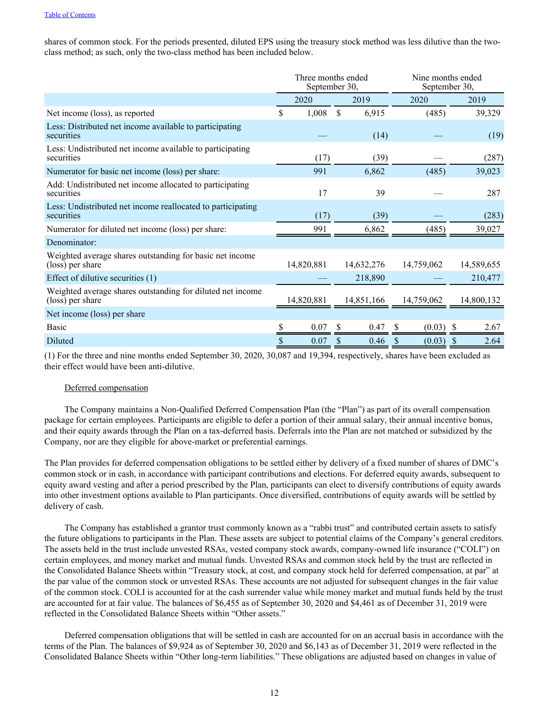shares of common stock. For the periods presented, diluted EPS using the treasury stock method was less dilutive than the twoclass method; as such, only the two-class method has been included below.

|                                                                                |   | Three months ended<br>September 30, |              |            |             | Nine months ended<br>September 30, |
|--------------------------------------------------------------------------------|---|-------------------------------------|--------------|------------|-------------|------------------------------------|
|                                                                                |   | 2020                                |              | 2019       | 2020        | 2019                               |
| Net income (loss), as reported                                                 | S | 1,008                               | \$.          | 6,915      | (485)       | 39,329                             |
| Less: Distributed net income available to participating<br>securities          |   |                                     |              | (14)       |             | (19)                               |
| Less: Undistributed net income available to participating<br>securities        |   | (17)                                |              | (39)       |             | (287)                              |
| Numerator for basic net income (loss) per share:                               |   | 991                                 |              | 6,862      | (485)       | 39,023                             |
| Add: Undistributed net income allocated to participating<br>securities         |   | 17                                  |              | 39         |             | 287                                |
| Less: Undistributed net income reallocated to participating<br>securities      |   | (17)                                |              | (39)       |             | (283)                              |
| Numerator for diluted net income (loss) per share:                             |   | 991                                 |              | 6,862      | (485)       | 39,027                             |
| Denominator:                                                                   |   |                                     |              |            |             |                                    |
| Weighted average shares outstanding for basic net income<br>(loss) per share   |   | 14,820,881                          |              | 14,632,276 | 14,759,062  | 14,589,655                         |
| Effect of dilutive securities (1)                                              |   |                                     |              | 218,890    |             | 210,477                            |
| Weighted average shares outstanding for diluted net income<br>(loss) per share |   | 14,820,881                          |              | 14,851,166 | 14,759,062  | 14,800,132                         |
| Net income (loss) per share                                                    |   |                                     |              |            |             |                                    |
| <b>Basic</b>                                                                   |   | 0.07                                | <sup>S</sup> | 0.47       | (0.03)<br>S | -S<br>2.67                         |
| Diluted                                                                        |   | 0.07                                |              | 0.46       | (0.03)      | 2.64<br>\$                         |

(1) For the three and nine months ended September 30, 2020, 30,087 and 19,394, respectively, shares have been excluded as their effect would have been anti-dilutive.

## Deferred compensation

The Company maintains a Non-Qualified Deferred Compensation Plan (the "Plan") as part of its overall compensation package for certain employees. Participants are eligible to defer a portion of their annual salary, their annual incentive bonus, and their equity awards through the Plan on a tax-deferred basis. Deferrals into the Plan are not matched or subsidized by the Company, nor are they eligible for above-market or preferential earnings.

The Plan provides for deferred compensation obligations to be settled either by delivery of a fixed number of shares of DMC's common stock or in cash, in accordance with participant contributions and elections. For deferred equity awards, subsequent to equity award vesting and after a period prescribed by the Plan, participants can elect to diversify contributions of equity awards into other investment options available to Plan participants. Once diversified, contributions of equity awards will be settled by delivery of cash.

The Company has established a grantor trust commonly known as a "rabbi trust" and contributed certain assets to satisfy the future obligations to participants in the Plan. These assets are subject to potential claims of the Company's general creditors. The assets held in the trust include unvested RSAs, vested company stock awards, company-owned life insurance ("COLI") on certain employees, and money market and mutual funds. Unvested RSAs and common stock held by the trust are reflected in the Consolidated Balance Sheets within "Treasury stock, at cost, and company stock held for deferred compensation, at par" at the par value of the common stock or unvested RSAs. These accounts are not adjusted for subsequent changes in the fair value of the common stock. COLI is accounted for at the cash surrender value while money market and mutual funds held by the trust are accounted for at fair value. The balances of \$6,455 as of September 30, 2020 and \$4,461 as of December 31, 2019 were reflected in the Consolidated Balance Sheets within "Other assets."

Deferred compensation obligations that will be settled in cash are accounted for on an accrual basis in accordance with the terms of the Plan. The balances of \$9,924 as of September 30, 2020 and \$6,143 as of December 31, 2019 were reflected in the Consolidated Balance Sheets within "Other long-term liabilities." These obligations are adjusted based on changes in value of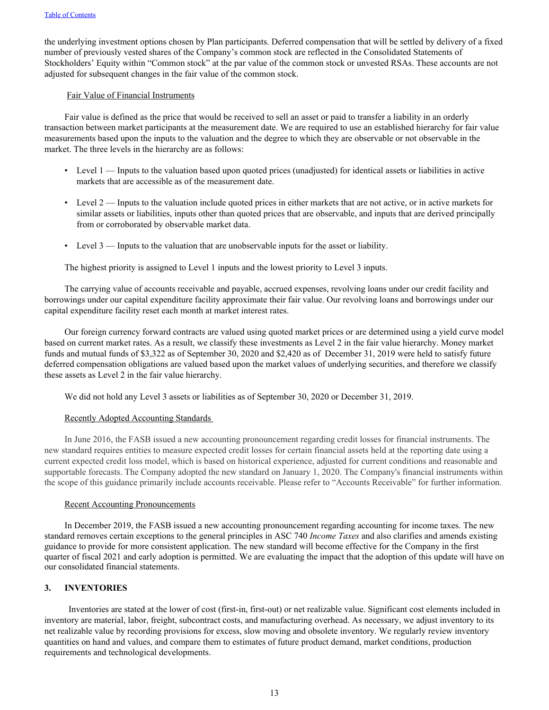the underlying investment options chosen by Plan participants. Deferred compensation that will be settled by delivery of a fixed number of previously vested shares of the Company's common stock are reflected in the Consolidated Statements of Stockholders' Equity within "Common stock" at the par value of the common stock or unvested RSAs. These accounts are not adjusted for subsequent changes in the fair value of the common stock.

## Fair Value of Financial Instruments

Fair value is defined as the price that would be received to sell an asset or paid to transfer a liability in an orderly transaction between market participants at the measurement date. We are required to use an established hierarchy for fair value measurements based upon the inputs to the valuation and the degree to which they are observable or not observable in the market. The three levels in the hierarchy are as follows:

- Level 1 Inputs to the valuation based upon quoted prices (unadjusted) for identical assets or liabilities in active markets that are accessible as of the measurement date.
- Level 2 Inputs to the valuation include quoted prices in either markets that are not active, or in active markets for similar assets or liabilities, inputs other than quoted prices that are observable, and inputs that are derived principally from or corroborated by observable market data.
- Level 3 Inputs to the valuation that are unobservable inputs for the asset or liability.

The highest priority is assigned to Level 1 inputs and the lowest priority to Level 3 inputs.

The carrying value of accounts receivable and payable, accrued expenses, revolving loans under our credit facility and borrowings under our capital expenditure facility approximate their fair value. Our revolving loans and borrowings under our capital expenditure facility reset each month at market interest rates.

Our foreign currency forward contracts are valued using quoted market prices or are determined using a yield curve model based on current market rates. As a result, we classify these investments as Level 2 in the fair value hierarchy. Money market funds and mutual funds of \$3,322 as of September 30, 2020 and \$2,420 as of December 31, 2019 were held to satisfy future deferred compensation obligations are valued based upon the market values of underlying securities, and therefore we classify these assets as Level 2 in the fair value hierarchy.

We did not hold any Level 3 assets or liabilities as of September 30, 2020 or December 31, 2019.

## Recently Adopted Accounting Standards

In June 2016, the FASB issued a new accounting pronouncement regarding credit losses for financial instruments. The new standard requires entities to measure expected credit losses for certain financial assets held at the reporting date using a current expected credit loss model, which is based on historical experience, adjusted for current conditions and reasonable and supportable forecasts. The Company adopted the new standard on January 1, 2020. The Company's financial instruments within the scope of this guidance primarily include accounts receivable. Please refer to "Accounts Receivable" for further information.

#### Recent Accounting Pronouncements

In December 2019, the FASB issued a new accounting pronouncement regarding accounting for income taxes. The new standard removes certain exceptions to the general principles in ASC 740 *Income Taxes* and also clarifies and amends existing guidance to provide for more consistent application. The new standard will become effective for the Company in the first quarter of fiscal 2021 and early adoption is permitted. We are evaluating the impact that the adoption of this update will have on our consolidated financial statements.

# **3. INVENTORIES**

Inventories are stated at the lower of cost (first-in, first-out) or net realizable value. Significant cost elements included in inventory are material, labor, freight, subcontract costs, and manufacturing overhead. As necessary, we adjust inventory to its net realizable value by recording provisions for excess, slow moving and obsolete inventory. We regularly review inventory quantities on hand and values, and compare them to estimates of future product demand, market conditions, production requirements and technological developments.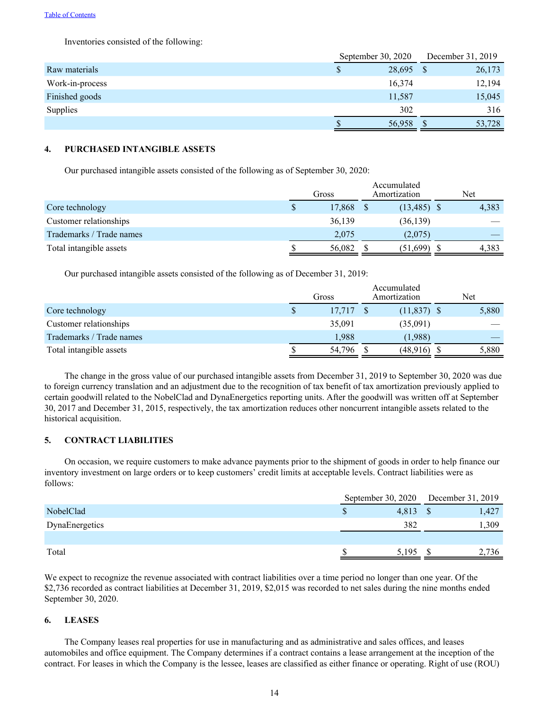Inventories consisted of the following:

|                 | September 30, 2020 | December 31, 2019 |
|-----------------|--------------------|-------------------|
| Raw materials   | 28,695 \$          | 26,173            |
| Work-in-process | 16,374             | 12,194            |
| Finished goods  | 11,587             | 15,045            |
| Supplies        | 302                | 316               |
|                 | 56,958             | 53,728            |

# **4. PURCHASED INTANGIBLE ASSETS**

Our purchased intangible assets consisted of the following as of September 30, 2020:

|                          |     | Gross  | Accumulated<br>Amortization | Net   |
|--------------------------|-----|--------|-----------------------------|-------|
| Core technology          | S   | 17,868 | $(13,485)$ \$               | 4,383 |
| Customer relationships   |     | 36,139 | (36, 139)                   |       |
| Trademarks / Trade names |     | 2,075  | (2,075)                     |       |
| Total intangible assets  | ĴО. | 56,082 | (51,699)                    | 4,383 |

Our purchased intangible assets consisted of the following as of December 31, 2019:

|                          | Gross |        |  | Accumulated<br>Amortization | Net |       |  |
|--------------------------|-------|--------|--|-----------------------------|-----|-------|--|
| Core technology          | S     | 17,717 |  | $(11,837)$ \$               |     | 5,880 |  |
| Customer relationships   |       | 35,091 |  | (35,091)                    |     |       |  |
| Trademarks / Trade names |       | 1,988  |  | (1,988)                     |     |       |  |
| Total intangible assets  |       | 54,796 |  | (48,916)                    |     | 5,880 |  |

The change in the gross value of our purchased intangible assets from December 31, 2019 to September 30, 2020 was due to foreign currency translation and an adjustment due to the recognition of tax benefit of tax amortization previously applied to certain goodwill related to the NobelClad and DynaEnergetics reporting units. After the goodwill was written off at September 30, 2017 and December 31, 2015, respectively, the tax amortization reduces other noncurrent intangible assets related to the historical acquisition.

# **5. CONTRACT LIABILITIES**

On occasion, we require customers to make advance payments prior to the shipment of goods in order to help finance our inventory investment on large orders or to keep customers' credit limits at acceptable levels. Contract liabilities were as follows:

|                |  | September 30, 2020 December 31, 2019 |  |       |
|----------------|--|--------------------------------------|--|-------|
| NobelClad      |  | 4,813                                |  | 1,427 |
| DynaEnergetics |  | 382                                  |  | 1,309 |
|                |  |                                      |  |       |
| Total          |  | 5.195                                |  | 2,736 |

We expect to recognize the revenue associated with contract liabilities over a time period no longer than one year. Of the \$2,736 recorded as contract liabilities at December 31, 2019, \$2,015 was recorded to net sales during the nine months ended September 30, 2020.

# **6. LEASES**

The Company leases real properties for use in manufacturing and as administrative and sales offices, and leases automobiles and office equipment. The Company determines if a contract contains a lease arrangement at the inception of the contract. For leases in which the Company is the lessee, leases are classified as either finance or operating. Right of use (ROU)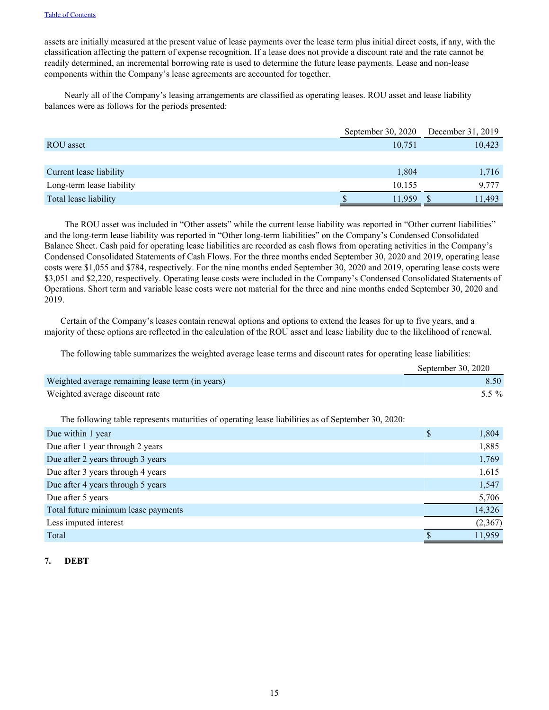assets are initially measured at the present value of lease payments over the lease term plus initial direct costs, if any, with the classification affecting the pattern of expense recognition. If a lease does not provide a discount rate and the rate cannot be readily determined, an incremental borrowing rate is used to determine the future lease payments. Lease and non-lease components within the Company's lease agreements are accounted for together.

Nearly all of the Company's leasing arrangements are classified as operating leases. ROU asset and lease liability balances were as follows for the periods presented:

|                           | September 30, $2020$ | December 31, 2019 |
|---------------------------|----------------------|-------------------|
| ROU asset                 | 10,751               | 10,423            |
|                           |                      |                   |
| Current lease liability   | 1,804                | 1,716             |
| Long-term lease liability | 10,155               | 9.777             |
| Total lease liability     | 11,959               | 11.493            |

The ROU asset was included in "Other assets" while the current lease liability was reported in "Other current liabilities" and the long-term lease liability was reported in "Other long-term liabilities" on the Company's Condensed Consolidated Balance Sheet. Cash paid for operating lease liabilities are recorded as cash flows from operating activities in the Company's Condensed Consolidated Statements of Cash Flows. For the three months ended September 30, 2020 and 2019, operating lease costs were \$1,055 and \$784, respectively. For the nine months ended September 30, 2020 and 2019, operating lease costs were \$3,051 and \$2,220, respectively. Operating lease costs were included in the Company's Condensed Consolidated Statements of Operations. Short term and variable lease costs were not material for the three and nine months ended September 30, 2020 and 2019.

Certain of the Company's leases contain renewal options and options to extend the leases for up to five years, and a majority of these options are reflected in the calculation of the ROU asset and lease liability due to the likelihood of renewal.

The following table summarizes the weighted average lease terms and discount rates for operating lease liabilities:

|                                                  | September 30, 2020 |
|--------------------------------------------------|--------------------|
| Weighted average remaining lease term (in years) | 8.50               |
| Weighted average discount rate                   | 5.5 $\%$           |
|                                                  |                    |

The following table represents maturities of operating lease liabilities as of September 30, 2020:

| Due within 1 year                   | \$<br>1,804 |
|-------------------------------------|-------------|
| Due after 1 year through 2 years    | 1,885       |
| Due after 2 years through 3 years   | 1,769       |
| Due after 3 years through 4 years   | 1,615       |
| Due after 4 years through 5 years   | 1,547       |
| Due after 5 years                   | 5,706       |
| Total future minimum lease payments | 14,326      |
| Less imputed interest               | (2,367)     |
| Total                               | 11,959      |

# **7. DEBT**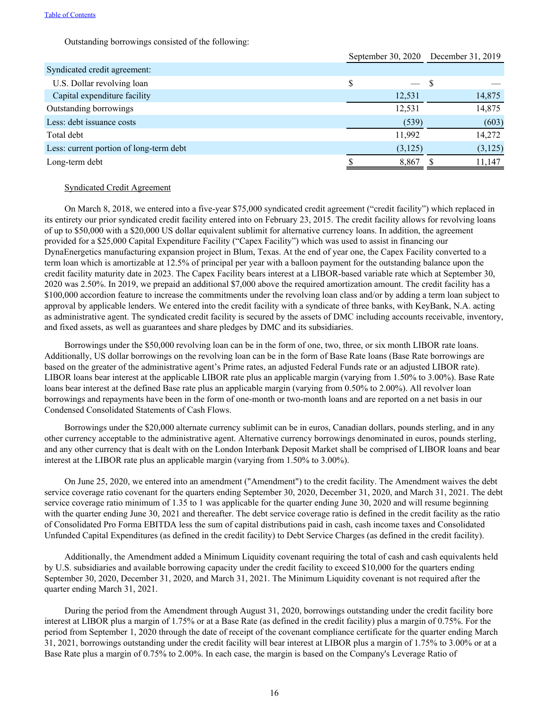Outstanding borrowings consisted of the following:

|                                         | September 30, 2020 December 31, 2019 |         |    |          |
|-----------------------------------------|--------------------------------------|---------|----|----------|
| Syndicated credit agreement:            |                                      |         |    |          |
| U.S. Dollar revolving loan              | \$                                   |         | -S |          |
| Capital expenditure facility            |                                      | 12,531  |    | 14,875   |
| Outstanding borrowings                  |                                      | 12,531  |    | 14,875   |
| Less: debt issuance costs               |                                      | (539)   |    | (603)    |
| Total debt                              |                                      | 11,992  |    | 14,272   |
| Less: current portion of long-term debt |                                      | (3,125) |    | (3, 125) |
| Long-term debt                          |                                      | 8,867   |    | 11,147   |

## Syndicated Credit Agreement

On March 8, 2018, we entered into a five-year \$75,000 syndicated credit agreement ("credit facility") which replaced in its entirety our prior syndicated credit facility entered into on February 23, 2015. The credit facility allows for revolving loans of up to \$50,000 with a \$20,000 US dollar equivalent sublimit for alternative currency loans. In addition, the agreement provided for a \$25,000 Capital Expenditure Facility ("Capex Facility") which was used to assist in financing our DynaEnergetics manufacturing expansion project in Blum, Texas. At the end of year one, the Capex Facility converted to a term loan which is amortizable at 12.5% of principal per year with a balloon payment for the outstanding balance upon the credit facility maturity date in 2023. The Capex Facility bears interest at a LIBOR-based variable rate which at September 30, 2020 was 2.50%. In 2019, we prepaid an additional \$7,000 above the required amortization amount. The credit facility has a \$100,000 accordion feature to increase the commitments under the revolving loan class and/or by adding a term loan subject to approval by applicable lenders. We entered into the credit facility with a syndicate of three banks, with KeyBank, N.A. acting as administrative agent. The syndicated credit facility is secured by the assets of DMC including accounts receivable, inventory, and fixed assets, as well as guarantees and share pledges by DMC and its subsidiaries.

Borrowings under the \$50,000 revolving loan can be in the form of one, two, three, or six month LIBOR rate loans. Additionally, US dollar borrowings on the revolving loan can be in the form of Base Rate loans (Base Rate borrowings are based on the greater of the administrative agent's Prime rates, an adjusted Federal Funds rate or an adjusted LIBOR rate). LIBOR loans bear interest at the applicable LIBOR rate plus an applicable margin (varying from 1.50% to 3.00%). Base Rate loans bear interest at the defined Base rate plus an applicable margin (varying from 0.50% to 2.00%). All revolver loan borrowings and repayments have been in the form of one-month or two-month loans and are reported on a net basis in our Condensed Consolidated Statements of Cash Flows.

Borrowings under the \$20,000 alternate currency sublimit can be in euros, Canadian dollars, pounds sterling, and in any other currency acceptable to the administrative agent. Alternative currency borrowings denominated in euros, pounds sterling, and any other currency that is dealt with on the London Interbank Deposit Market shall be comprised of LIBOR loans and bear interest at the LIBOR rate plus an applicable margin (varying from 1.50% to 3.00%).

On June 25, 2020, we entered into an amendment ("Amendment") to the credit facility. The Amendment waives the debt service coverage ratio covenant for the quarters ending September 30, 2020, December 31, 2020, and March 31, 2021. The debt service coverage ratio minimum of 1.35 to 1 was applicable for the quarter ending June 30, 2020 and will resume beginning with the quarter ending June 30, 2021 and thereafter. The debt service coverage ratio is defined in the credit facility as the ratio of Consolidated Pro Forma EBITDA less the sum of capital distributions paid in cash, cash income taxes and Consolidated Unfunded Capital Expenditures (as defined in the credit facility) to Debt Service Charges (as defined in the credit facility).

Additionally, the Amendment added a Minimum Liquidity covenant requiring the total of cash and cash equivalents held by U.S. subsidiaries and available borrowing capacity under the credit facility to exceed \$10,000 for the quarters ending September 30, 2020, December 31, 2020, and March 31, 2021. The Minimum Liquidity covenant is not required after the quarter ending March 31, 2021.

During the period from the Amendment through August 31, 2020, borrowings outstanding under the credit facility bore interest at LIBOR plus a margin of 1.75% or at a Base Rate (as defined in the credit facility) plus a margin of 0.75%. For the period from September 1, 2020 through the date of receipt of the covenant compliance certificate for the quarter ending March 31, 2021, borrowings outstanding under the credit facility will bear interest at LIBOR plus a margin of 1.75% to 3.00% or at a Base Rate plus a margin of 0.75% to 2.00%. In each case, the margin is based on the Company's Leverage Ratio of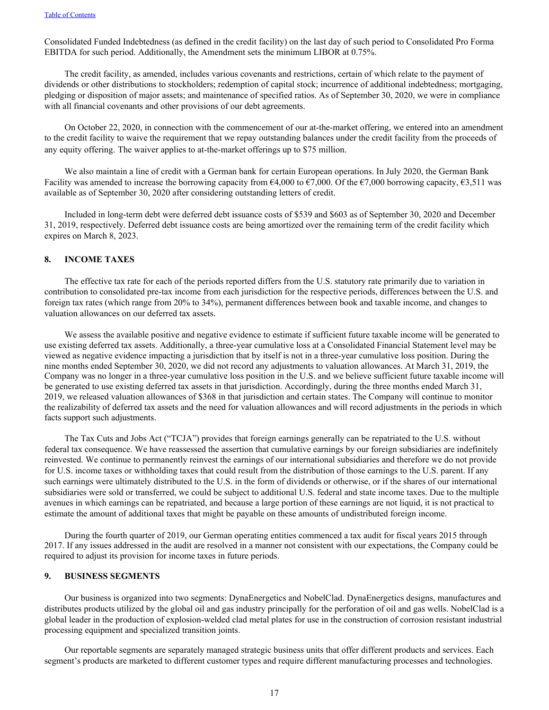Consolidated Funded Indebtedness (as defined in the credit facility) on the last day of such period to Consolidated Pro Forma EBITDA for such period. Additionally, the Amendment sets the minimum LIBOR at 0.75%.

The credit facility, as amended, includes various covenants and restrictions, certain of which relate to the payment of dividends or other distributions to stockholders; redemption of capital stock; incurrence of additional indebtedness; mortgaging, pledging or disposition of major assets; and maintenance of specified ratios. As of September 30, 2020, we were in compliance with all financial covenants and other provisions of our debt agreements.

On October 22, 2020, in connection with the commencement of our at-the-market offering, we entered into an amendment to the credit facility to waive the requirement that we repay outstanding balances under the credit facility from the proceeds of any equity offering. The waiver applies to at-the-market offerings up to \$75 million.

We also maintain a line of credit with a German bank for certain European operations. In July 2020, the German Bank Facility was amended to increase the borrowing capacity from  $64,000$  to  $67,000$ . Of the  $67,000$  borrowing capacity,  $63,511$  was available as of September 30, 2020 after considering outstanding letters of credit.

Included in long-term debt were deferred debt issuance costs of \$539 and \$603 as of September 30, 2020 and December 31, 2019, respectively. Deferred debt issuance costs are being amortized over the remaining term of the credit facility which expires on March 8, 2023.

# **8. INCOME TAXES**

The effective tax rate for each of the periods reported differs from the U.S. statutory rate primarily due to variation in contribution to consolidated pre-tax income from each jurisdiction for the respective periods, differences between the U.S. and foreign tax rates (which range from 20% to 34%), permanent differences between book and taxable income, and changes to valuation allowances on our deferred tax assets.

We assess the available positive and negative evidence to estimate if sufficient future taxable income will be generated to use existing deferred tax assets. Additionally, a three-year cumulative loss at a Consolidated Financial Statement level may be viewed as negative evidence impacting a jurisdiction that by itself is not in a three-year cumulative loss position. During the nine months ended September 30, 2020, we did not record any adjustments to valuation allowances. At March 31, 2019, the Company was no longer in a three-year cumulative loss position in the U.S. and we believe sufficient future taxable income will be generated to use existing deferred tax assets in that jurisdiction. Accordingly, during the three months ended March 31, 2019, we released valuation allowances of \$368 in that jurisdiction and certain states. The Company will continue to monitor the realizability of deferred tax assets and the need for valuation allowances and will record adjustments in the periods in which facts support such adjustments.

The Tax Cuts and Jobs Act ("TCJA") provides that foreign earnings generally can be repatriated to the U.S. without federal tax consequence. We have reassessed the assertion that cumulative earnings by our foreign subsidiaries are indefinitely reinvested. We continue to permanently reinvest the earnings of our international subsidiaries and therefore we do not provide for U.S. income taxes or withholding taxes that could result from the distribution of those earnings to the U.S. parent. If any such earnings were ultimately distributed to the U.S. in the form of dividends or otherwise, or if the shares of our international subsidiaries were sold or transferred, we could be subject to additional U.S. federal and state income taxes. Due to the multiple avenues in which earnings can be repatriated, and because a large portion of these earnings are not liquid, it is not practical to estimate the amount of additional taxes that might be payable on these amounts of undistributed foreign income.

During the fourth quarter of 2019, our German operating entities commenced a tax audit for fiscal years 2015 through 2017. If any issues addressed in the audit are resolved in a manner not consistent with our expectations, the Company could be required to adjust its provision for income taxes in future periods.

# **9. BUSINESS SEGMENTS**

Our business is organized into two segments: DynaEnergetics and NobelClad. DynaEnergetics designs, manufactures and distributes products utilized by the global oil and gas industry principally for the perforation of oil and gas wells. NobelClad is a global leader in the production of explosion-welded clad metal plates for use in the construction of corrosion resistant industrial processing equipment and specialized transition joints.

Our reportable segments are separately managed strategic business units that offer different products and services. Each segment's products are marketed to different customer types and require different manufacturing processes and technologies.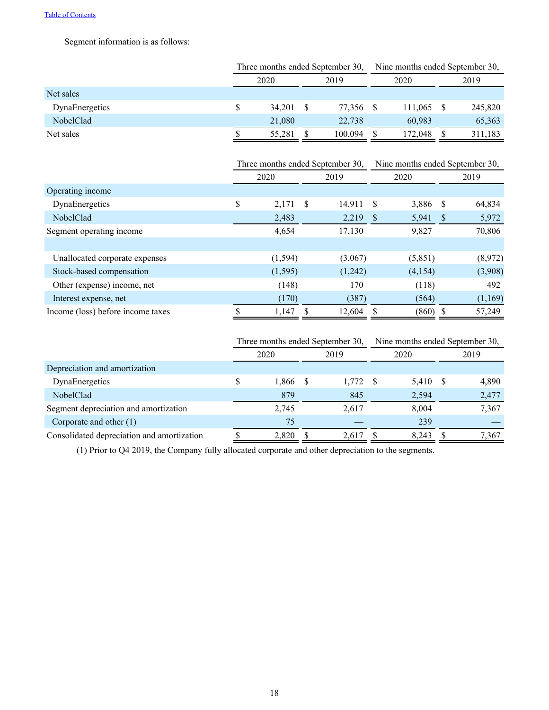Segment information is as follows:

|                | Three months ended September 30, |        |      |         | Nine months ended September 30, |         |  |         |
|----------------|----------------------------------|--------|------|---------|---------------------------------|---------|--|---------|
|                | 2020                             |        | 2019 |         | 2020                            |         |  | 2019    |
| Net sales      |                                  |        |      |         |                                 |         |  |         |
| DynaEnergetics |                                  | 34.201 |      | 77.356  |                                 | 111.065 |  | 245,820 |
| NobelClad      |                                  | 21,080 |      | 22,738  |                                 | 60,983  |  | 65,363  |
| Net sales      |                                  | 55,281 |      | 100,094 |                                 | 172.048 |  | 311,183 |

|                                   | Three months ended September 30, |          |               |         | Nine months ended September 30, |            |      |         |
|-----------------------------------|----------------------------------|----------|---------------|---------|---------------------------------|------------|------|---------|
|                                   |                                  | 2020     | 2019          |         | 2020                            |            |      | 2019    |
| Operating income                  |                                  |          |               |         |                                 |            |      |         |
| DynaEnergetics                    | \$                               | 2,171    | <sup>\$</sup> | 14,911  | -S                              | 3,886      | - S  | 64,834  |
| NobelClad                         |                                  | 2,483    |               | 2,219   | -S                              | 5,941      | - \$ | 5,972   |
| Segment operating income          |                                  | 4,654    |               | 17,130  |                                 | 9,827      |      | 70,806  |
|                                   |                                  |          |               |         |                                 |            |      |         |
| Unallocated corporate expenses    |                                  | (1, 594) |               | (3,067) |                                 | (5,851)    |      | (8,972) |
| Stock-based compensation          |                                  | (1,595)  |               | (1,242) |                                 | (4,154)    |      | (3,908) |
| Other (expense) income, net       |                                  | (148)    |               | 170     |                                 | (118)      |      | 492     |
| Interest expense, net             |                                  | (170)    |               | (387)   |                                 | (564)      |      | (1,169) |
| Income (loss) before income taxes |                                  | 1,147    |               | 12,604  |                                 | $(860)$ \$ |      | 57,249  |

|                                            | Three months ended September 30, |       |      |       | Nine months ended September 30, |       |  |       |
|--------------------------------------------|----------------------------------|-------|------|-------|---------------------------------|-------|--|-------|
|                                            | 2020                             |       | 2019 |       | 2020                            |       |  | 2019  |
| Depreciation and amortization              |                                  |       |      |       |                                 |       |  |       |
| DynaEnergetics                             | \$                               | 1,866 |      | 1,772 | - S                             | 5,410 |  | 4,890 |
| NobelClad                                  |                                  | 879   |      | 845   |                                 | 2,594 |  | 2,477 |
| Segment depreciation and amortization      |                                  | 2,745 |      | 2,617 |                                 | 8.004 |  | 7,367 |
| Corporate and other (1)                    |                                  | 75    |      |       |                                 | 239   |  |       |
| Consolidated depreciation and amortization |                                  | 2.820 | S.   | 2.617 |                                 | 8.243 |  | 7,367 |

(1) Prior to Q4 2019, the Company fully allocated corporate and other depreciation to the segments.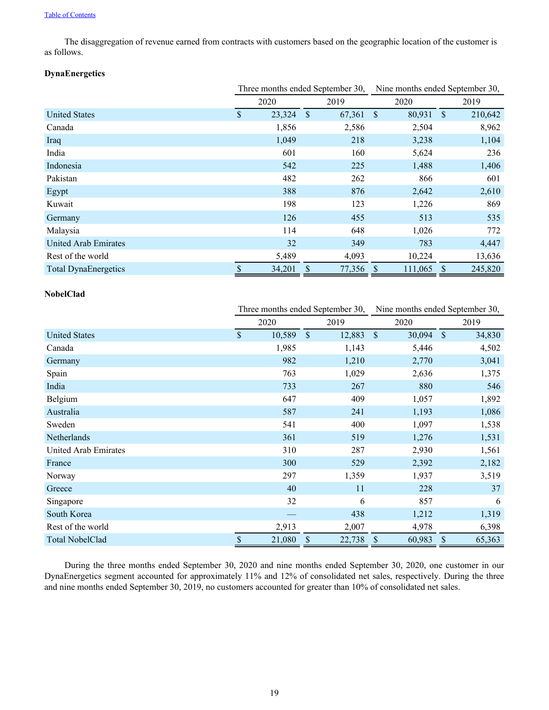The disaggregation of revenue earned from contracts with customers based on the geographic location of the customer is as follows.

# **DynaEnergetics**

|                             |              | Three months ended September 30, |          |        | Nine months ended September 30, |         |              |         |
|-----------------------------|--------------|----------------------------------|----------|--------|---------------------------------|---------|--------------|---------|
|                             |              | 2020                             |          | 2019   |                                 | 2020    |              | 2019    |
| <b>United States</b>        | $\mathbb{S}$ | 23,324                           | <b>S</b> | 67,361 | $\mathcal{S}$                   | 80,931  | <sup>S</sup> | 210,642 |
| Canada                      |              | 1,856                            |          | 2,586  |                                 | 2,504   |              | 8,962   |
| Iraq                        |              | 1,049                            |          | 218    |                                 | 3,238   |              | 1,104   |
| India                       |              | 601                              |          | 160    |                                 | 5,624   |              | 236     |
| Indonesia                   |              | 542                              |          | 225    |                                 | 1,488   |              | 1,406   |
| Pakistan                    |              | 482                              |          | 262    |                                 | 866     |              | 601     |
| Egypt                       |              | 388                              |          | 876    |                                 | 2,642   |              | 2,610   |
| Kuwait                      |              | 198                              |          | 123    |                                 | 1,226   |              | 869     |
| Germany                     |              | 126                              |          | 455    |                                 | 513     |              | 535     |
| Malaysia                    |              | 114                              |          | 648    |                                 | 1,026   |              | 772     |
| United Arab Emirates        |              | 32                               |          | 349    |                                 | 783     |              | 4,447   |
| Rest of the world           |              | 5,489                            |          | 4,093  |                                 | 10,224  |              | 13,636  |
| <b>Total DynaEnergetics</b> | \$           | 34,201                           | \$.      | 77,356 | -S                              | 111,065 | \$.          | 245,820 |

# **NobelClad**

|                        |                    |        |              | Three months ended September 30, | Nine months ended September 30, |        |               |        |
|------------------------|--------------------|--------|--------------|----------------------------------|---------------------------------|--------|---------------|--------|
|                        |                    | 2020   |              | 2019                             |                                 | 2020   |               | 2019   |
| <b>United States</b>   | $\mathbf{\hat{S}}$ | 10,589 | $\mathbb{S}$ | 12,883                           | $\mathbb{S}$                    | 30,094 | $\mathcal{S}$ | 34,830 |
| Canada                 |                    | 1,985  |              | 1,143                            |                                 | 5,446  |               | 4,502  |
| Germany                |                    | 982    |              | 1,210                            |                                 | 2,770  |               | 3,041  |
| Spain                  |                    | 763    |              | 1,029                            |                                 | 2,636  |               | 1,375  |
| India                  |                    | 733    |              | 267                              |                                 | 880    |               | 546    |
| Belgium                |                    | 647    |              | 409                              |                                 | 1,057  |               | 1,892  |
| Australia              |                    | 587    |              | 241                              |                                 | 1,193  |               | 1,086  |
| Sweden                 |                    | 541    |              | 400                              |                                 | 1,097  |               | 1,538  |
| Netherlands            |                    | 361    |              | 519                              |                                 | 1,276  |               | 1,531  |
| United Arab Emirates   |                    | 310    |              | 287                              |                                 | 2,930  |               | 1,561  |
| France                 |                    | 300    |              | 529                              |                                 | 2,392  |               | 2,182  |
| Norway                 |                    | 297    |              | 1,359                            |                                 | 1,937  |               | 3,519  |
| Greece                 |                    | 40     |              | 11                               |                                 | 228    |               | 37     |
| Singapore              |                    | 32     |              | 6                                |                                 | 857    |               | 6      |
| South Korea            |                    |        |              | 438                              |                                 | 1,212  |               | 1,319  |
| Rest of the world      |                    | 2,913  |              | 2,007                            |                                 | 4,978  |               | 6,398  |
| <b>Total NobelClad</b> | \$                 | 21,080 | \$           | 22,738                           | $\sqrt{\ }$                     | 60,983 | \$            | 65,363 |

During the three months ended September 30, 2020 and nine months ended September 30, 2020, one customer in our DynaEnergetics segment accounted for approximately 11% and 12% of consolidated net sales, respectively. During the three and nine months ended September 30, 2019, no customers accounted for greater than 10% of consolidated net sales.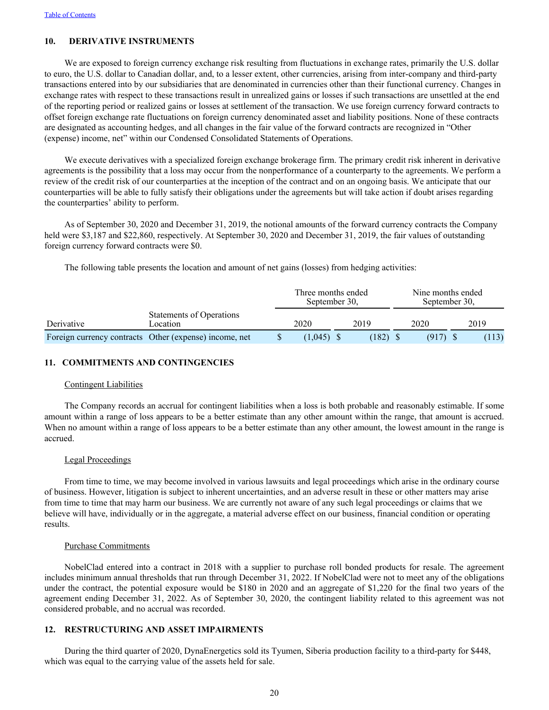# **10. DERIVATIVE INSTRUMENTS**

We are exposed to foreign currency exchange risk resulting from fluctuations in exchange rates, primarily the U.S. dollar to euro, the U.S. dollar to Canadian dollar, and, to a lesser extent, other currencies, arising from inter-company and third-party transactions entered into by our subsidiaries that are denominated in currencies other than their functional currency. Changes in exchange rates with respect to these transactions result in unrealized gains or losses if such transactions are unsettled at the end of the reporting period or realized gains or losses at settlement of the transaction. We use foreign currency forward contracts to offset foreign exchange rate fluctuations on foreign currency denominated asset and liability positions. None of these contracts are designated as accounting hedges, and all changes in the fair value of the forward contracts are recognized in "Other (expense) income, net" within our Condensed Consolidated Statements of Operations.

We execute derivatives with a specialized foreign exchange brokerage firm. The primary credit risk inherent in derivative agreements is the possibility that a loss may occur from the nonperformance of a counterparty to the agreements. We perform a review of the credit risk of our counterparties at the inception of the contract and on an ongoing basis. We anticipate that our counterparties will be able to fully satisfy their obligations under the agreements but will take action if doubt arises regarding the counterparties' ability to perform.

As of September 30, 2020 and December 31, 2019, the notional amounts of the forward currency contracts the Company held were \$3,187 and \$22,860, respectively. At September 30, 2020 and December 31, 2019, the fair values of outstanding foreign currency forward contracts were \$0.

The following table presents the location and amount of net gains (losses) from hedging activities:

|            |                                                        | September 30, | Three months ended | Nine months ended<br>September 30, |  |       |  |
|------------|--------------------------------------------------------|---------------|--------------------|------------------------------------|--|-------|--|
| Derivative | Statements of Operations<br><i>cocation</i>            | 2020          | 2019               | 2020                               |  | 2019  |  |
|            | Foreign currency contracts Other (expense) income, net | $(1.045)$ \$  | (182)              | (917)                              |  | (113) |  |

## **11. COMMITMENTS AND CONTINGENCIES**

## Contingent Liabilities

The Company records an accrual for contingent liabilities when a loss is both probable and reasonably estimable. If some amount within a range of loss appears to be a better estimate than any other amount within the range, that amount is accrued. When no amount within a range of loss appears to be a better estimate than any other amount, the lowest amount in the range is accrued.

#### Legal Proceedings

From time to time, we may become involved in various lawsuits and legal proceedings which arise in the ordinary course of business. However, litigation is subject to inherent uncertainties, and an adverse result in these or other matters may arise from time to time that may harm our business. We are currently not aware of any such legal proceedings or claims that we believe will have, individually or in the aggregate, a material adverse effect on our business, financial condition or operating results.

#### Purchase Commitments

NobelClad entered into a contract in 2018 with a supplier to purchase roll bonded products for resale. The agreement includes minimum annual thresholds that run through December 31, 2022. If NobelClad were not to meet any of the obligations under the contract, the potential exposure would be \$180 in 2020 and an aggregate of \$1,220 for the final two years of the agreement ending December 31, 2022. As of September 30, 2020, the contingent liability related to this agreement was not considered probable, and no accrual was recorded.

## **12. RESTRUCTURING AND ASSET IMPAIRMENTS**

During the third quarter of 2020, DynaEnergetics sold its Tyumen, Siberia production facility to a third-party for \$448, which was equal to the carrying value of the assets held for sale.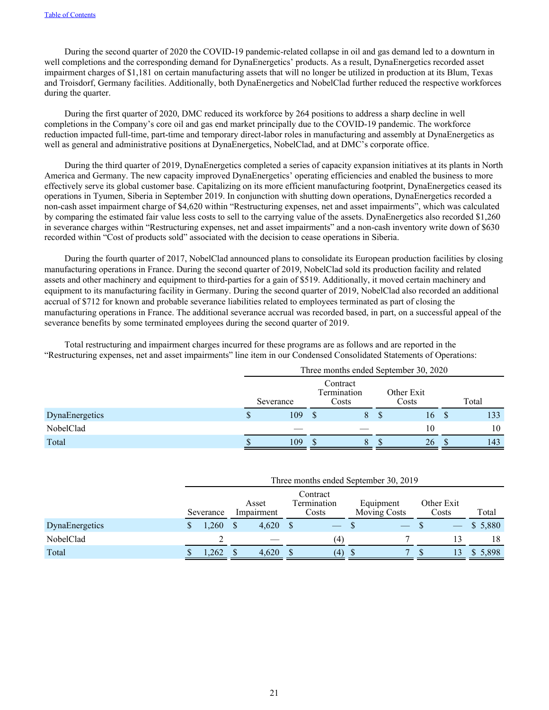During the second quarter of 2020 the COVID-19 pandemic-related collapse in oil and gas demand led to a downturn in well completions and the corresponding demand for DynaEnergetics' products. As a result, DynaEnergetics recorded asset impairment charges of \$1,181 on certain manufacturing assets that will no longer be utilized in production at its Blum, Texas and Troisdorf, Germany facilities. Additionally, both DynaEnergetics and NobelClad further reduced the respective workforces during the quarter.

During the first quarter of 2020, DMC reduced its workforce by 264 positions to address a sharp decline in well completions in the Company's core oil and gas end market principally due to the COVID-19 pandemic. The workforce reduction impacted full-time, part-time and temporary direct-labor roles in manufacturing and assembly at DynaEnergetics as well as general and administrative positions at DynaEnergetics, NobelClad, and at DMC's corporate office.

During the third quarter of 2019, DynaEnergetics completed a series of capacity expansion initiatives at its plants in North America and Germany. The new capacity improved DynaEnergetics' operating efficiencies and enabled the business to more effectively serve its global customer base. Capitalizing on its more efficient manufacturing footprint, DynaEnergetics ceased its operations in Tyumen, Siberia in September 2019. In conjunction with shutting down operations, DynaEnergetics recorded a non-cash asset impairment charge of \$4,620 within "Restructuring expenses, net and asset impairments", which was calculated by comparing the estimated fair value less costs to sell to the carrying value of the assets. DynaEnergetics also recorded \$1,260 in severance charges within "Restructuring expenses, net and asset impairments" and a non-cash inventory write down of \$630 recorded within "Cost of products sold" associated with the decision to cease operations in Siberia.

During the fourth quarter of 2017, NobelClad announced plans to consolidate its European production facilities by closing manufacturing operations in France. During the second quarter of 2019, NobelClad sold its production facility and related assets and other machinery and equipment to third-parties for a gain of \$519. Additionally, it moved certain machinery and equipment to its manufacturing facility in Germany. During the second quarter of 2019, NobelClad also recorded an additional accrual of \$712 for known and probable severance liabilities related to employees terminated as part of closing the manufacturing operations in France. The additional severance accrual was recorded based, in part, on a successful appeal of the severance benefits by some terminated employees during the second quarter of 2019.

Total restructuring and impairment charges incurred for these programs are as follows and are reported in the "Restructuring expenses, net and asset impairments" line item in our Condensed Consolidated Statements of Operations:

|                | Three months ended September 30, 2020 |           |                                  |   |  |                     |    |       |  |  |  |
|----------------|---------------------------------------|-----------|----------------------------------|---|--|---------------------|----|-------|--|--|--|
|                |                                       | Severance | Contract<br>Termination<br>Costs |   |  | Other Exit<br>Costs |    | Total |  |  |  |
| DynaEnergetics | S                                     | 109       |                                  | 8 |  | 16                  | -S | 133   |  |  |  |
| NobelClad      |                                       |           |                                  |   |  | 10                  |    | 10    |  |  |  |
| Total          |                                       | 109       |                                  | x |  | 26                  |    | 143   |  |  |  |

|                | Three months ended September 30, 2019 |                     |                                                                                                                                                                                                                                                                                                                                                                                                                                                                            |                                  |                     |         |  |  |  |  |  |  |  |
|----------------|---------------------------------------|---------------------|----------------------------------------------------------------------------------------------------------------------------------------------------------------------------------------------------------------------------------------------------------------------------------------------------------------------------------------------------------------------------------------------------------------------------------------------------------------------------|----------------------------------|---------------------|---------|--|--|--|--|--|--|--|
|                | Severance                             | Asset<br>Impairment | Contract<br>Termination<br>Costs                                                                                                                                                                                                                                                                                                                                                                                                                                           | Equipment<br><b>Moving Costs</b> | Other Exit<br>Costs | Total   |  |  |  |  |  |  |  |
| DynaEnergetics | ,260                                  | 4,620               | $\frac{1}{2} \left( \frac{1}{2} \right) \left( \frac{1}{2} \right) \left( \frac{1}{2} \right) \left( \frac{1}{2} \right) \left( \frac{1}{2} \right) \left( \frac{1}{2} \right) \left( \frac{1}{2} \right) \left( \frac{1}{2} \right) \left( \frac{1}{2} \right) \left( \frac{1}{2} \right) \left( \frac{1}{2} \right) \left( \frac{1}{2} \right) \left( \frac{1}{2} \right) \left( \frac{1}{2} \right) \left( \frac{1}{2} \right) \left( \frac{1}{2} \right) \left( \frac$ |                                  |                     | \$5,880 |  |  |  |  |  |  |  |
| NobelClad      |                                       |                     | (4)                                                                                                                                                                                                                                                                                                                                                                                                                                                                        |                                  | 13                  | 18      |  |  |  |  |  |  |  |
| Total          | .262                                  | 4,620               | (4)                                                                                                                                                                                                                                                                                                                                                                                                                                                                        |                                  | $13^{\circ}$        | \$5.898 |  |  |  |  |  |  |  |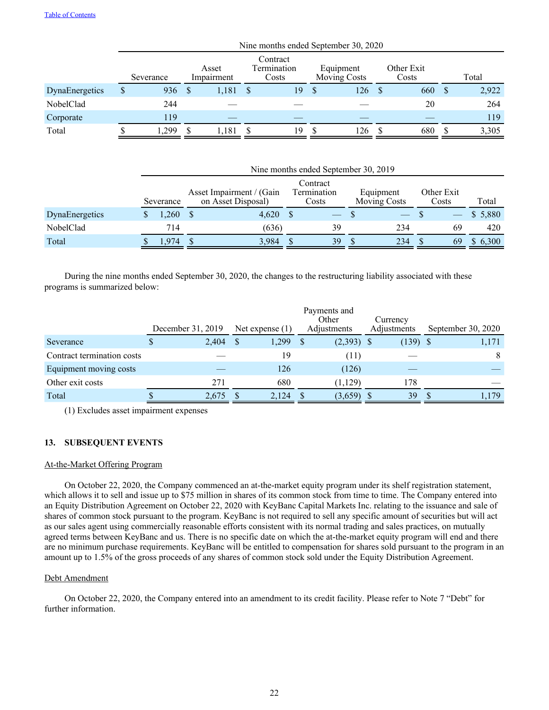|                |   | Nine months ended September 30, 2020 |   |                     |  |                                  |  |                                  |  |                     |  |       |  |
|----------------|---|--------------------------------------|---|---------------------|--|----------------------------------|--|----------------------------------|--|---------------------|--|-------|--|
|                |   | Severance                            |   | Asset<br>Impairment |  | Contract<br>Termination<br>Costs |  | Equipment<br><b>Moving Costs</b> |  | Other Exit<br>Costs |  | Total |  |
| DynaEnergetics | S | 936                                  | S | 1,181               |  | 19                               |  | 126                              |  | 660                 |  | 2,922 |  |
| NobelClad      |   | 244                                  |   |                     |  |                                  |  |                                  |  | 20                  |  | 264   |  |
| Corporate      |   | 119                                  |   |                     |  |                                  |  |                                  |  |                     |  | 119   |  |
| Total          |   | ,299                                 |   | 181,                |  | 19                               |  | 126                              |  | 680                 |  | 3,305 |  |

|                | Nine months ended September 30, 2019 |           |  |                                                |  |                                  |  |                                  |  |                     |       |         |
|----------------|--------------------------------------|-----------|--|------------------------------------------------|--|----------------------------------|--|----------------------------------|--|---------------------|-------|---------|
|                |                                      | Severance |  | Asset Impairment / (Gain<br>on Asset Disposal) |  | Contract<br>Termination<br>Costs |  | Equipment<br><b>Moving Costs</b> |  | Other Exit<br>Costs | Total |         |
| DynaEnergetics |                                      | 260       |  | 4,620                                          |  |                                  |  |                                  |  |                     |       | \$5,880 |
| NobelClad      |                                      | 714       |  | (636)                                          |  | 39                               |  | 234                              |  | 69                  |       | 420     |
| Total          |                                      | .974      |  | 3,984                                          |  | 39                               |  | 234                              |  | 69                  |       | 6,300   |

During the nine months ended September 30, 2020, the changes to the restructuring liability associated with these programs is summarized below:

|                            |                   |                   | Payments and<br>Other | Currency    |                    |
|----------------------------|-------------------|-------------------|-----------------------|-------------|--------------------|
|                            | December 31, 2019 | Net expense $(1)$ | Adjustments           | Adjustments | September 30, 2020 |
| Severance                  | 2,404             | 1,299             | $(2,393)$ \$          | $(139)$ \$  | 1,171              |
| Contract termination costs |                   | 19                | (11)                  |             | 8                  |
| Equipment moving costs     |                   | 126               | (126)                 |             |                    |
| Other exit costs           | 271               | 680               | (1,129)               | 178         |                    |
| Total                      | 2,675             | 2,124             | (3,659)               | 39          | ,179               |

(1) Excludes asset impairment expenses

# **13. SUBSEQUENT EVENTS**

## At-the-Market Offering Program

On October 22, 2020, the Company commenced an at-the-market equity program under its shelf registration statement, which allows it to sell and issue up to \$75 million in shares of its common stock from time to time. The Company entered into an Equity Distribution Agreement on October 22, 2020 with KeyBanc Capital Markets Inc. relating to the issuance and sale of shares of common stock pursuant to the program. KeyBanc is not required to sell any specific amount of securities but will act as our sales agent using commercially reasonable efforts consistent with its normal trading and sales practices, on mutually agreed terms between KeyBanc and us. There is no specific date on which the at-the-market equity program will end and there are no minimum purchase requirements. KeyBanc will be entitled to compensation for shares sold pursuant to the program in an amount up to 1.5% of the gross proceeds of any shares of common stock sold under the Equity Distribution Agreement.

## Debt Amendment

On October 22, 2020, the Company entered into an amendment to its credit facility. Please refer to Note 7 "Debt" for further information.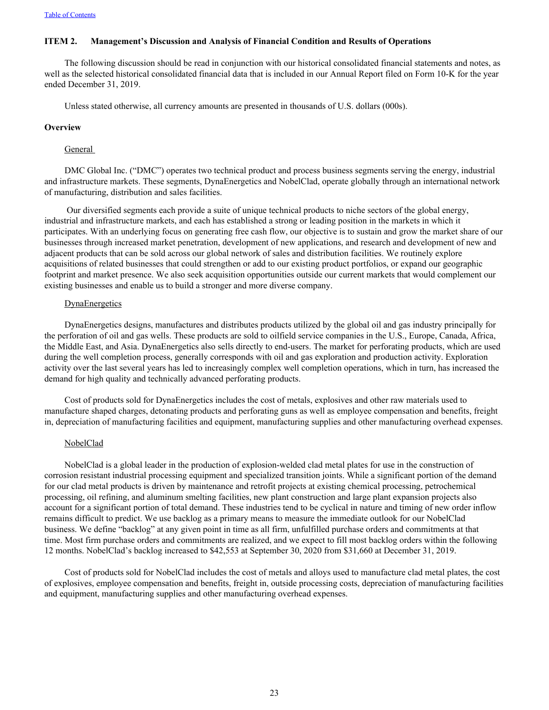# <span id="page-23-0"></span>**ITEM 2. Management's Discussion and Analysis of Financial Condition and Results of Operations**

The following discussion should be read in conjunction with our historical consolidated financial statements and notes, as well as the selected historical consolidated financial data that is included in our Annual Report filed on Form 10-K for the year ended December 31, 2019.

Unless stated otherwise, all currency amounts are presented in thousands of U.S. dollars (000s).

#### **Overview**

#### General

DMC Global Inc. ("DMC") operates two technical product and process business segments serving the energy, industrial and infrastructure markets. These segments, DynaEnergetics and NobelClad, operate globally through an international network of manufacturing, distribution and sales facilities.

 Our diversified segments each provide a suite of unique technical products to niche sectors of the global energy, industrial and infrastructure markets, and each has established a strong or leading position in the markets in which it participates. With an underlying focus on generating free cash flow, our objective is to sustain and grow the market share of our businesses through increased market penetration, development of new applications, and research and development of new and adjacent products that can be sold across our global network of sales and distribution facilities. We routinely explore acquisitions of related businesses that could strengthen or add to our existing product portfolios, or expand our geographic footprint and market presence. We also seek acquisition opportunities outside our current markets that would complement our existing businesses and enable us to build a stronger and more diverse company.

#### **DynaEnergetics**

DynaEnergetics designs, manufactures and distributes products utilized by the global oil and gas industry principally for the perforation of oil and gas wells. These products are sold to oilfield service companies in the U.S., Europe, Canada, Africa, the Middle East, and Asia. DynaEnergetics also sells directly to end-users. The market for perforating products, which are used during the well completion process, generally corresponds with oil and gas exploration and production activity. Exploration activity over the last several years has led to increasingly complex well completion operations, which in turn, has increased the demand for high quality and technically advanced perforating products.

Cost of products sold for DynaEnergetics includes the cost of metals, explosives and other raw materials used to manufacture shaped charges, detonating products and perforating guns as well as employee compensation and benefits, freight in, depreciation of manufacturing facilities and equipment, manufacturing supplies and other manufacturing overhead expenses.

# NobelClad

NobelClad is a global leader in the production of explosion-welded clad metal plates for use in the construction of corrosion resistant industrial processing equipment and specialized transition joints. While a significant portion of the demand for our clad metal products is driven by maintenance and retrofit projects at existing chemical processing, petrochemical processing, oil refining, and aluminum smelting facilities, new plant construction and large plant expansion projects also account for a significant portion of total demand. These industries tend to be cyclical in nature and timing of new order inflow remains difficult to predict. We use backlog as a primary means to measure the immediate outlook for our NobelClad business. We define "backlog" at any given point in time as all firm, unfulfilled purchase orders and commitments at that time. Most firm purchase orders and commitments are realized, and we expect to fill most backlog orders within the following 12 months. NobelClad's backlog increased to \$42,553 at September 30, 2020 from \$31,660 at December 31, 2019.

Cost of products sold for NobelClad includes the cost of metals and alloys used to manufacture clad metal plates, the cost of explosives, employee compensation and benefits, freight in, outside processing costs, depreciation of manufacturing facilities and equipment, manufacturing supplies and other manufacturing overhead expenses.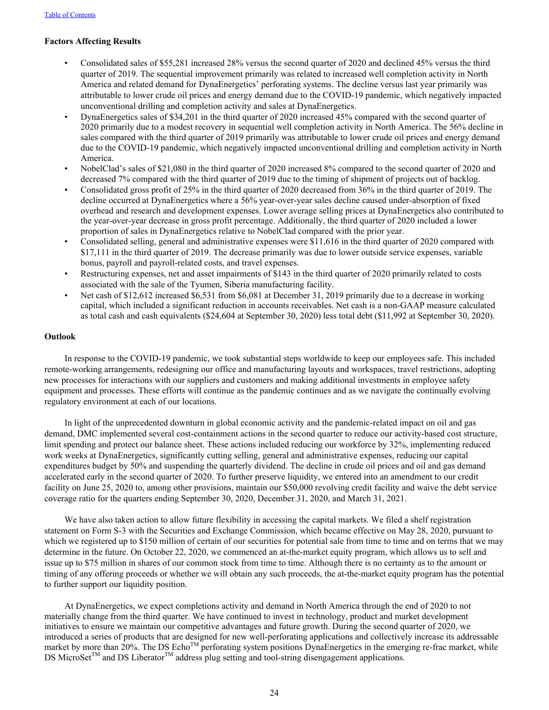# **Factors Affecting Results**

- Consolidated sales of \$55,281 increased 28% versus the second quarter of 2020 and declined 45% versus the third quarter of 2019. The sequential improvement primarily was related to increased well completion activity in North America and related demand for DynaEnergetics' perforating systems. The decline versus last year primarily was attributable to lower crude oil prices and energy demand due to the COVID-19 pandemic, which negatively impacted unconventional drilling and completion activity and sales at DynaEnergetics.
- DynaEnergetics sales of \$34,201 in the third quarter of 2020 increased 45% compared with the second quarter of 2020 primarily due to a modest recovery in sequential well completion activity in North America. The 56% decline in sales compared with the third quarter of 2019 primarily was attributable to lower crude oil prices and energy demand due to the COVID-19 pandemic, which negatively impacted unconventional drilling and completion activity in North America.
- NobelClad's sales of \$21,080 in the third quarter of 2020 increased 8% compared to the second quarter of 2020 and decreased 7% compared with the third quarter of 2019 due to the timing of shipment of projects out of backlog.
- Consolidated gross profit of 25% in the third quarter of 2020 decreased from 36% in the third quarter of 2019. The decline occurred at DynaEnergetics where a 56% year-over-year sales decline caused under-absorption of fixed overhead and research and development expenses. Lower average selling prices at DynaEnergetics also contributed to the year-over-year decrease in gross profit percentage. Additionally, the third quarter of 2020 included a lower proportion of sales in DynaEnergetics relative to NobelClad compared with the prior year.
- Consolidated selling, general and administrative expenses were \$11,616 in the third quarter of 2020 compared with \$17,111 in the third quarter of 2019. The decrease primarily was due to lower outside service expenses, variable bonus, payroll and payroll-related costs, and travel expenses.
- Restructuring expenses, net and asset impairments of \$143 in the third quarter of 2020 primarily related to costs associated with the sale of the Tyumen, Siberia manufacturing facility.
- Net cash of \$12,612 increased \$6,531 from \$6,081 at December 31, 2019 primarily due to a decrease in working capital, which included a significant reduction in accounts receivables. Net cash is a non-GAAP measure calculated as total cash and cash equivalents (\$24,604 at September 30, 2020) less total debt (\$11,992 at September 30, 2020).

## **Outlook**

In response to the COVID-19 pandemic, we took substantial steps worldwide to keep our employees safe. This included remote-working arrangements, redesigning our office and manufacturing layouts and workspaces, travel restrictions, adopting new processes for interactions with our suppliers and customers and making additional investments in employee safety equipment and processes. These efforts will continue as the pandemic continues and as we navigate the continually evolving regulatory environment at each of our locations.

In light of the unprecedented downturn in global economic activity and the pandemic-related impact on oil and gas demand, DMC implemented several cost-containment actions in the second quarter to reduce our activity-based cost structure, limit spending and protect our balance sheet. These actions included reducing our workforce by 32%, implementing reduced work weeks at DynaEnergetics, significantly cutting selling, general and administrative expenses, reducing our capital expenditures budget by 50% and suspending the quarterly dividend. The decline in crude oil prices and oil and gas demand accelerated early in the second quarter of 2020. To further preserve liquidity, we entered into an amendment to our credit facility on June 25, 2020 to, among other provisions, maintain our \$50,000 revolving credit facility and waive the debt service coverage ratio for the quarters ending September 30, 2020, December 31, 2020, and March 31, 2021.

We have also taken action to allow future flexibility in accessing the capital markets. We filed a shelf registration statement on Form S-3 with the Securities and Exchange Commission, which became effective on May 28, 2020, pursuant to which we registered up to \$150 million of certain of our securities for potential sale from time to time and on terms that we may determine in the future. On October 22, 2020, we commenced an at-the-market equity program, which allows us to sell and issue up to \$75 million in shares of our common stock from time to time. Although there is no certainty as to the amount or timing of any offering proceeds or whether we will obtain any such proceeds, the at-the-market equity program has the potential to further support our liquidity position.

At DynaEnergetics, we expect completions activity and demand in North America through the end of 2020 to not materially change from the third quarter. We have continued to invest in technology, product and market development initiatives to ensure we maintain our competitive advantages and future growth. During the second quarter of 2020, we introduced a series of products that are designed for new well-perforating applications and collectively increase its addressable market by more than  $20\%$ . The DS Echo<sup>TM</sup> perforating system positions DynaEnergetics in the emerging re-frac market, while DS MicroSet<sup>TM</sup> and DS Liberator<sup>TM</sup> address plug setting and tool-string disengagement applications.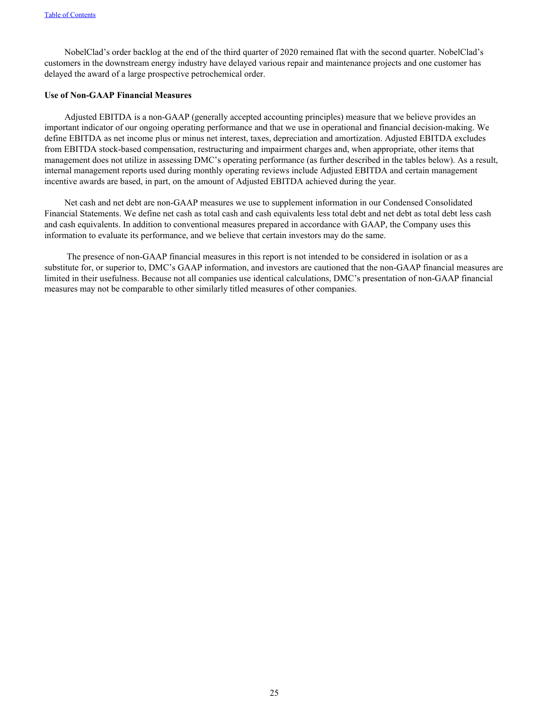NobelClad's order backlog at the end of the third quarter of 2020 remained flat with the second quarter. NobelClad's customers in the downstream energy industry have delayed various repair and maintenance projects and one customer has delayed the award of a large prospective petrochemical order.

# **Use of Non-GAAP Financial Measures**

Adjusted EBITDA is a non-GAAP (generally accepted accounting principles) measure that we believe provides an important indicator of our ongoing operating performance and that we use in operational and financial decision-making. We define EBITDA as net income plus or minus net interest, taxes, depreciation and amortization. Adjusted EBITDA excludes from EBITDA stock-based compensation, restructuring and impairment charges and, when appropriate, other items that management does not utilize in assessing DMC's operating performance (as further described in the tables below). As a result, internal management reports used during monthly operating reviews include Adjusted EBITDA and certain management incentive awards are based, in part, on the amount of Adjusted EBITDA achieved during the year.

Net cash and net debt are non-GAAP measures we use to supplement information in our Condensed Consolidated Financial Statements. We define net cash as total cash and cash equivalents less total debt and net debt as total debt less cash and cash equivalents. In addition to conventional measures prepared in accordance with GAAP, the Company uses this information to evaluate its performance, and we believe that certain investors may do the same.

 The presence of non-GAAP financial measures in this report is not intended to be considered in isolation or as a substitute for, or superior to, DMC's GAAP information, and investors are cautioned that the non-GAAP financial measures are limited in their usefulness. Because not all companies use identical calculations, DMC's presentation of non-GAAP financial measures may not be comparable to other similarly titled measures of other companies.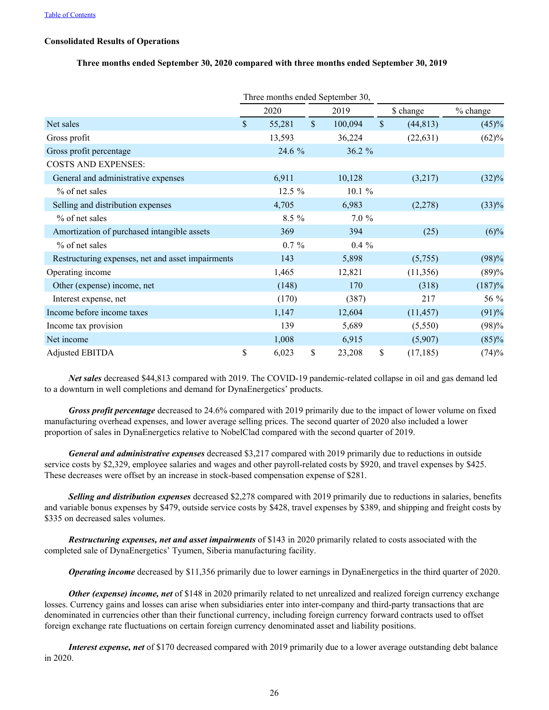## **Consolidated Results of Operations**

#### **Three months ended September 30, 2020 compared with three months ended September 30, 2019**

|                                                   |               | Three months ended September 30, |               |               |           |          |
|---------------------------------------------------|---------------|----------------------------------|---------------|---------------|-----------|----------|
|                                                   |               | 2020                             | 2019          |               | \$ change | % change |
| Net sales                                         | $\mathcal{S}$ | 55,281                           | \$<br>100,094 | $\mathsf{\$}$ | (44, 813) | (45)%    |
| Gross profit                                      |               | 13,593                           | 36,224        |               | (22, 631) | (62)%    |
| Gross profit percentage                           |               | 24.6 %                           | 36.2 %        |               |           |          |
| <b>COSTS AND EXPENSES:</b>                        |               |                                  |               |               |           |          |
| General and administrative expenses               |               | 6,911                            | 10,128        |               | (3,217)   | $(32)\%$ |
| % of net sales                                    |               | 12.5 %                           | 10.1%         |               |           |          |
| Selling and distribution expenses                 |               | 4,705                            | 6,983         |               | (2,278)   | $(33)\%$ |
| % of net sales                                    |               | 8.5 %                            | 7.0%          |               |           |          |
| Amortization of purchased intangible assets       |               | 369                              | 394           |               | (25)      | $(6)\%$  |
| % of net sales                                    |               | $0.7 \%$                         | $0.4\%$       |               |           |          |
| Restructuring expenses, net and asset impairments |               | 143                              | 5,898         |               | (5,755)   | (98)%    |
| Operating income                                  |               | 1,465                            | 12,821        |               | (11,356)  | (89)%    |
| Other (expense) income, net                       |               | (148)                            | 170           |               | (318)     | (187)%   |
| Interest expense, net                             |               | (170)                            | (387)         |               | 217       | 56 %     |
| Income before income taxes                        |               | 1,147                            | 12,604        |               | (11, 457) | (91)%    |
| Income tax provision                              |               | 139                              | 5,689         |               | (5,550)   | (98)%    |
| Net income                                        |               | 1,008                            | 6,915         |               | (5,907)   | (85)%    |
| Adjusted EBITDA                                   | \$            | 6,023                            | \$<br>23,208  | $\mathsf{\$}$ | (17, 185) | (74)%    |

*Net sales* decreased \$44,813 compared with 2019. The COVID-19 pandemic-related collapse in oil and gas demand led to a downturn in well completions and demand for DynaEnergetics' products.

*Gross profit percentage* decreased to 24.6% compared with 2019 primarily due to the impact of lower volume on fixed manufacturing overhead expenses, and lower average selling prices. The second quarter of 2020 also included a lower proportion of sales in DynaEnergetics relative to NobelClad compared with the second quarter of 2019.

*General and administrative expenses* decreased \$3,217 compared with 2019 primarily due to reductions in outside service costs by \$2,329, employee salaries and wages and other payroll-related costs by \$920, and travel expenses by \$425. These decreases were offset by an increase in stock-based compensation expense of \$281.

*Selling and distribution expenses* decreased \$2,278 compared with 2019 primarily due to reductions in salaries, benefits and variable bonus expenses by \$479, outside service costs by \$428, travel expenses by \$389, and shipping and freight costs by \$335 on decreased sales volumes.

*Restructuring expenses, net and asset impairments* of \$143 in 2020 primarily related to costs associated with the completed sale of DynaEnergetics' Tyumen, Siberia manufacturing facility.

*Operating income* decreased by \$11,356 primarily due to lower earnings in DynaEnergetics in the third quarter of 2020.

*Other (expense) income, net* of \$148 in 2020 primarily related to net unrealized and realized foreign currency exchange losses. Currency gains and losses can arise when subsidiaries enter into inter-company and third-party transactions that are denominated in currencies other than their functional currency, including foreign currency forward contracts used to offset foreign exchange rate fluctuations on certain foreign currency denominated asset and liability positions.

*Interest expense, net* of \$170 decreased compared with 2019 primarily due to a lower average outstanding debt balance in 2020.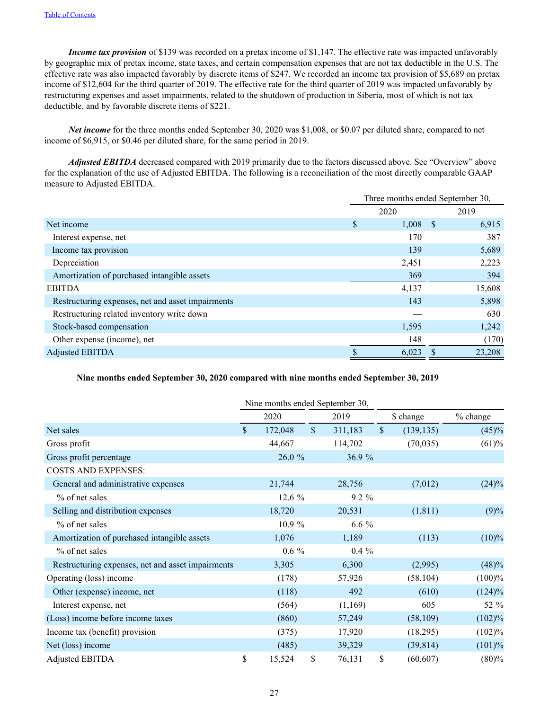*Income tax provision* of \$139 was recorded on a pretax income of \$1,147. The effective rate was impacted unfavorably by geographic mix of pretax income, state taxes, and certain compensation expenses that are not tax deductible in the U.S. The effective rate was also impacted favorably by discrete items of \$247. We recorded an income tax provision of \$5,689 on pretax income of \$12,604 for the third quarter of 2019. The effective rate for the third quarter of 2019 was impacted unfavorably by restructuring expenses and asset impairments, related to the shutdown of production in Siberia, most of which is not tax deductible, and by favorable discrete items of \$221.

*Net income* for the three months ended September 30, 2020 was \$1,008, or \$0.07 per diluted share, compared to net income of \$6,915, or \$0.46 per diluted share, for the same period in 2019.

*Adjusted EBITDA* decreased compared with 2019 primarily due to the factors discussed above. See "Overview" above for the explanation of the use of Adjusted EBITDA. The following is a reconciliation of the most directly comparable GAAP measure to Adjusted EBITDA.

|                                                   | Three months ended September 30, |       |            |        |  |  |
|---------------------------------------------------|----------------------------------|-------|------------|--------|--|--|
|                                                   |                                  | 2020  |            | 2019   |  |  |
| Net income                                        | S                                | 1,008 | $\sqrt{s}$ | 6,915  |  |  |
| Interest expense, net                             |                                  | 170   |            | 387    |  |  |
| Income tax provision                              |                                  | 139   |            | 5,689  |  |  |
| Depreciation                                      |                                  | 2,451 |            | 2,223  |  |  |
| Amortization of purchased intangible assets       |                                  | 369   |            | 394    |  |  |
| <b>EBITDA</b>                                     |                                  | 4,137 |            | 15,608 |  |  |
| Restructuring expenses, net and asset impairments |                                  | 143   |            | 5,898  |  |  |
| Restructuring related inventory write down        |                                  |       |            | 630    |  |  |
| Stock-based compensation                          |                                  | 1,595 |            | 1,242  |  |  |
| Other expense (income), net                       |                                  | 148   |            | (170)  |  |  |
| <b>Adjusted EBITDA</b>                            |                                  | 6,023 |            | 23,208 |  |  |

## **Nine months ended September 30, 2020 compared with nine months ended September 30, 2019**

|                                                   |                    | Nine months ended September 30, |               |         |              |            |           |
|---------------------------------------------------|--------------------|---------------------------------|---------------|---------|--------------|------------|-----------|
|                                                   |                    | 2020                            |               | 2019    |              | \$ change  | % change  |
| Net sales                                         | $\mathbf{\hat{S}}$ | 172,048                         | $\mathcal{S}$ | 311,183 | $\mathbb{S}$ | (139, 135) | (45)%     |
| Gross profit                                      |                    | 44,667                          |               | 114,702 |              | (70, 035)  | (61)%     |
| Gross profit percentage                           |                    | 26.0 %                          |               | 36.9 %  |              |            |           |
| <b>COSTS AND EXPENSES:</b>                        |                    |                                 |               |         |              |            |           |
| General and administrative expenses               |                    | 21,744                          |               | 28,756  |              | (7,012)    | $(24)\%$  |
| $\%$ of net sales                                 |                    | $12.6\%$                        |               | 9.2 %   |              |            |           |
| Selling and distribution expenses                 |                    | 18,720                          |               | 20,531  |              | (1, 811)   | (9)%      |
| $\%$ of net sales                                 |                    | 10.9%                           |               | $6.6\%$ |              |            |           |
| Amortization of purchased intangible assets       |                    | 1,076                           |               | 1,189   |              | (113)      | $(10)\%$  |
| $\%$ of net sales                                 |                    | $0.6\%$                         |               | $0.4\%$ |              |            |           |
| Restructuring expenses, net and asset impairments |                    | 3,305                           |               | 6,300   |              | (2,995)    | (48)%     |
| Operating (loss) income                           |                    | (178)                           |               | 57,926  |              | (58, 104)  | (100)%    |
| Other (expense) income, net                       |                    | (118)                           |               | 492     |              | (610)      | $(124)\%$ |
| Interest expense, net                             |                    | (564)                           |               | (1,169) |              | 605        | 52 %      |
| (Loss) income before income taxes                 |                    | (860)                           |               | 57,249  |              | (58, 109)  | (102)%    |
| Income tax (benefit) provision                    |                    | (375)                           |               | 17,920  |              | (18,295)   | (102)%    |
| Net (loss) income                                 |                    | (485)                           |               | 39,329  |              | (39, 814)  | (101)%    |
| Adjusted EBITDA                                   | \$                 | 15,524                          | \$            | 76,131  | \$           | (60, 607)  | (80)%     |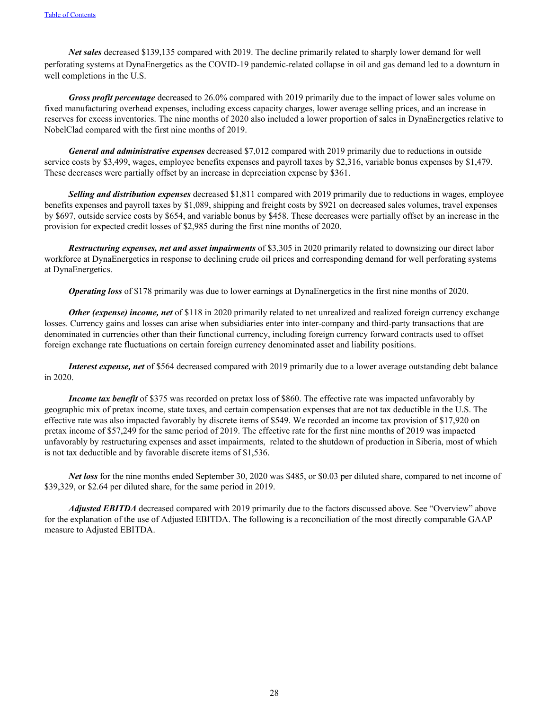*Net sales* decreased \$139,135 compared with 2019. The decline primarily related to sharply lower demand for well perforating systems at DynaEnergetics as the COVID-19 pandemic-related collapse in oil and gas demand led to a downturn in well completions in the U.S.

*Gross profit percentage* decreased to 26.0% compared with 2019 primarily due to the impact of lower sales volume on fixed manufacturing overhead expenses, including excess capacity charges, lower average selling prices, and an increase in reserves for excess inventories. The nine months of 2020 also included a lower proportion of sales in DynaEnergetics relative to NobelClad compared with the first nine months of 2019.

*General and administrative expenses* decreased \$7,012 compared with 2019 primarily due to reductions in outside service costs by \$3,499, wages, employee benefits expenses and payroll taxes by \$2,316, variable bonus expenses by \$1,479. These decreases were partially offset by an increase in depreciation expense by \$361.

*Selling and distribution expenses* decreased \$1,811 compared with 2019 primarily due to reductions in wages, employee benefits expenses and payroll taxes by \$1,089, shipping and freight costs by \$921 on decreased sales volumes, travel expenses by \$697, outside service costs by \$654, and variable bonus by \$458. These decreases were partially offset by an increase in the provision for expected credit losses of \$2,985 during the first nine months of 2020.

*Restructuring expenses, net and asset impairments* of \$3,305 in 2020 primarily related to downsizing our direct labor workforce at DynaEnergetics in response to declining crude oil prices and corresponding demand for well perforating systems at DynaEnergetics.

*Operating loss* of \$178 primarily was due to lower earnings at DynaEnergetics in the first nine months of 2020.

*Other (expense) income, net* of \$118 in 2020 primarily related to net unrealized and realized foreign currency exchange losses. Currency gains and losses can arise when subsidiaries enter into inter-company and third-party transactions that are denominated in currencies other than their functional currency, including foreign currency forward contracts used to offset foreign exchange rate fluctuations on certain foreign currency denominated asset and liability positions.

*Interest expense, net* of \$564 decreased compared with 2019 primarily due to a lower average outstanding debt balance in 2020.

*Income tax benefit* of \$375 was recorded on pretax loss of \$860. The effective rate was impacted unfavorably by geographic mix of pretax income, state taxes, and certain compensation expenses that are not tax deductible in the U.S. The effective rate was also impacted favorably by discrete items of \$549. We recorded an income tax provision of \$17,920 on pretax income of \$57,249 for the same period of 2019. The effective rate for the first nine months of 2019 was impacted unfavorably by restructuring expenses and asset impairments, related to the shutdown of production in Siberia, most of which is not tax deductible and by favorable discrete items of \$1,536.

*Net loss* for the nine months ended September 30, 2020 was \$485, or \$0.03 per diluted share, compared to net income of \$39,329, or \$2.64 per diluted share, for the same period in 2019.

*Adjusted EBITDA* decreased compared with 2019 primarily due to the factors discussed above. See "Overview" above for the explanation of the use of Adjusted EBITDA. The following is a reconciliation of the most directly comparable GAAP measure to Adjusted EBITDA.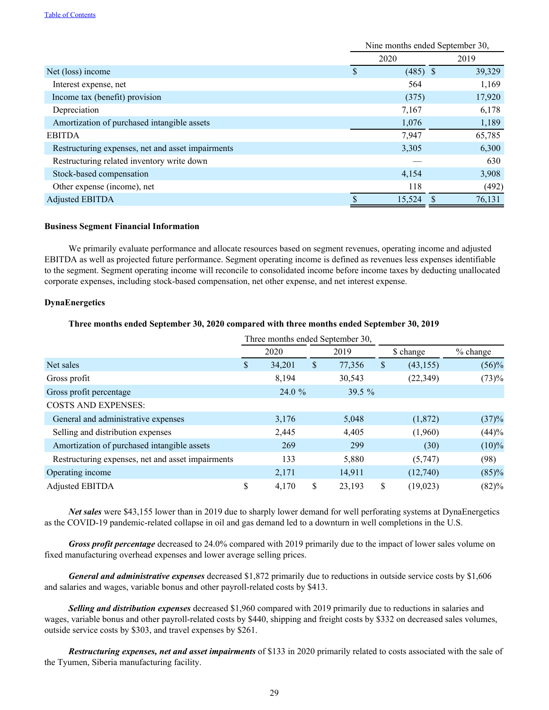#### [Table of Contents](#page-3-0)

|                                                   |   | Nine months ended September 30, |        |
|---------------------------------------------------|---|---------------------------------|--------|
|                                                   |   | 2020                            | 2019   |
| Net (loss) income                                 | S | $(485)$ \$                      | 39,329 |
| Interest expense, net                             |   | 564                             | 1,169  |
| Income tax (benefit) provision                    |   | (375)                           | 17,920 |
| Depreciation                                      |   | 7,167                           | 6,178  |
| Amortization of purchased intangible assets       |   | 1,076                           | 1,189  |
| <b>EBITDA</b>                                     |   | 7,947                           | 65,785 |
| Restructuring expenses, net and asset impairments |   | 3,305                           | 6,300  |
| Restructuring related inventory write down        |   |                                 | 630    |
| Stock-based compensation                          |   | 4,154                           | 3,908  |
| Other expense (income), net                       |   | 118                             | (492)  |
| <b>Adjusted EBITDA</b>                            |   | 15,524                          | 76,131 |

#### **Business Segment Financial Information**

We primarily evaluate performance and allocate resources based on segment revenues, operating income and adjusted EBITDA as well as projected future performance. Segment operating income is defined as revenues less expenses identifiable to the segment. Segment operating income will reconcile to consolidated income before income taxes by deducting unallocated corporate expenses, including stock-based compensation, net other expense, and net interest expense.

#### **DynaEnergetics**

## **Three months ended September 30, 2020 compared with three months ended September 30, 2019**

|                                                   |              | Three months ended September 30, |                 |            |
|---------------------------------------------------|--------------|----------------------------------|-----------------|------------|
|                                                   | 2020         | 2019                             | \$ change       | $%$ change |
| Net sales                                         | \$<br>34,201 | \$<br>77,356                     | \$<br>(43, 155) | $(56)\%$   |
| Gross profit                                      | 8,194        | 30,543                           | (22, 349)       | (73)%      |
| Gross profit percentage                           | 24.0%        | 39.5 %                           |                 |            |
| <b>COSTS AND EXPENSES:</b>                        |              |                                  |                 |            |
| General and administrative expenses               | 3,176        | 5,048                            | (1,872)         | (37)%      |
| Selling and distribution expenses                 | 2,445        | 4,405                            | (1,960)         | (44)%      |
| Amortization of purchased intangible assets       | 269          | 299                              | (30)            | $(10)\%$   |
| Restructuring expenses, net and asset impairments | 133          | 5,880                            | (5,747)         | (98)       |
| Operating income                                  | 2,171        | 14,911                           | (12,740)        | (85)%      |
| <b>Adjusted EBITDA</b>                            | \$<br>4,170  | \$<br>23,193                     | \$<br>(19, 023) | (82)%      |

*Net sales* were \$43,155 lower than in 2019 due to sharply lower demand for well perforating systems at DynaEnergetics as the COVID-19 pandemic-related collapse in oil and gas demand led to a downturn in well completions in the U.S.

*Gross profit percentage* decreased to 24.0% compared with 2019 primarily due to the impact of lower sales volume on fixed manufacturing overhead expenses and lower average selling prices.

*General and administrative expenses* decreased \$1,872 primarily due to reductions in outside service costs by \$1,606 and salaries and wages, variable bonus and other payroll-related costs by \$413.

*Selling and distribution expenses* decreased \$1,960 compared with 2019 primarily due to reductions in salaries and wages, variable bonus and other payroll-related costs by \$440, shipping and freight costs by \$332 on decreased sales volumes, outside service costs by \$303, and travel expenses by \$261.

*Restructuring expenses, net and asset impairments* of \$133 in 2020 primarily related to costs associated with the sale of the Tyumen, Siberia manufacturing facility.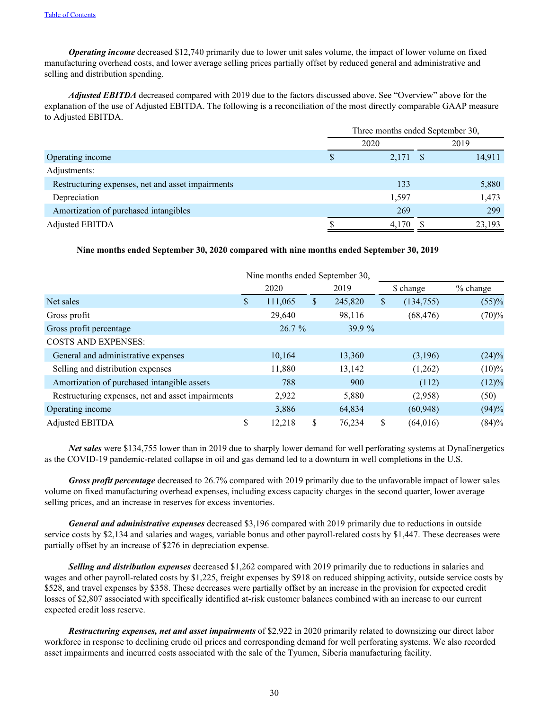*Operating income* decreased \$12,740 primarily due to lower unit sales volume, the impact of lower volume on fixed manufacturing overhead costs, and lower average selling prices partially offset by reduced general and administrative and selling and distribution spending.

*Adjusted EBITDA* decreased compared with 2019 due to the factors discussed above. See "Overview" above for the explanation of the use of Adjusted EBITDA. The following is a reconciliation of the most directly comparable GAAP measure to Adjusted EBITDA.

|                                                   | Three months ended September 30, |            |      |        |  |
|---------------------------------------------------|----------------------------------|------------|------|--------|--|
|                                                   | 2020                             |            | 2019 |        |  |
| Operating income                                  | S                                | $2,171$ \$ |      | 14,911 |  |
| Adjustments:                                      |                                  |            |      |        |  |
| Restructuring expenses, net and asset impairments |                                  | 133        |      | 5,880  |  |
| Depreciation                                      |                                  | 1,597      |      | 1,473  |  |
| Amortization of purchased intangibles             |                                  | 269        |      | 299    |  |
| <b>Adjusted EBITDA</b>                            |                                  | 4,170      |      | 23,193 |  |

#### **Nine months ended September 30, 2020 compared with nine months ended September 30, 2019**

|                                                   |              | Nine months ended September 30, |    |         |           |            |          |
|---------------------------------------------------|--------------|---------------------------------|----|---------|-----------|------------|----------|
|                                                   | 2020<br>2019 |                                 |    |         | \$ change | $%$ change |          |
| Net sales                                         | S            | 111,065                         | \$ | 245,820 | \$        | (134, 755) | (55)%    |
| Gross profit                                      |              | 29,640                          |    | 98,116  |           | (68, 476)  | (70)%    |
| Gross profit percentage                           |              | 26.7%                           |    | 39.9 %  |           |            |          |
| <b>COSTS AND EXPENSES:</b>                        |              |                                 |    |         |           |            |          |
| General and administrative expenses               |              | 10,164                          |    | 13,360  |           | (3,196)    | $(24)\%$ |
| Selling and distribution expenses                 |              | 11,880                          |    | 13,142  |           | (1,262)    | $(10)\%$ |
| Amortization of purchased intangible assets       |              | 788                             |    | 900     |           | (112)      | $(12)\%$ |
| Restructuring expenses, net and asset impairments |              | 2,922                           |    | 5,880   |           | (2,958)    | (50)     |
| Operating income                                  |              | 3,886                           |    | 64,834  |           | (60, 948)  | (94)%    |
| <b>Adjusted EBITDA</b>                            | \$           | 12,218                          | \$ | 76,234  | \$        | (64,016)   | (84)%    |

*Net sales* were \$134,755 lower than in 2019 due to sharply lower demand for well perforating systems at DynaEnergetics as the COVID-19 pandemic-related collapse in oil and gas demand led to a downturn in well completions in the U.S.

*Gross profit percentage* decreased to 26.7% compared with 2019 primarily due to the unfavorable impact of lower sales volume on fixed manufacturing overhead expenses, including excess capacity charges in the second quarter, lower average selling prices, and an increase in reserves for excess inventories.

*General and administrative expenses* decreased \$3,196 compared with 2019 primarily due to reductions in outside service costs by \$2,134 and salaries and wages, variable bonus and other payroll-related costs by \$1,447. These decreases were partially offset by an increase of \$276 in depreciation expense.

*Selling and distribution expenses* decreased \$1,262 compared with 2019 primarily due to reductions in salaries and wages and other payroll-related costs by \$1,225, freight expenses by \$918 on reduced shipping activity, outside service costs by \$528, and travel expenses by \$358. These decreases were partially offset by an increase in the provision for expected credit losses of \$2,807 associated with specifically identified at-risk customer balances combined with an increase to our current expected credit loss reserve.

*Restructuring expenses, net and asset impairments* of \$2,922 in 2020 primarily related to downsizing our direct labor workforce in response to declining crude oil prices and corresponding demand for well perforating systems. We also recorded asset impairments and incurred costs associated with the sale of the Tyumen, Siberia manufacturing facility.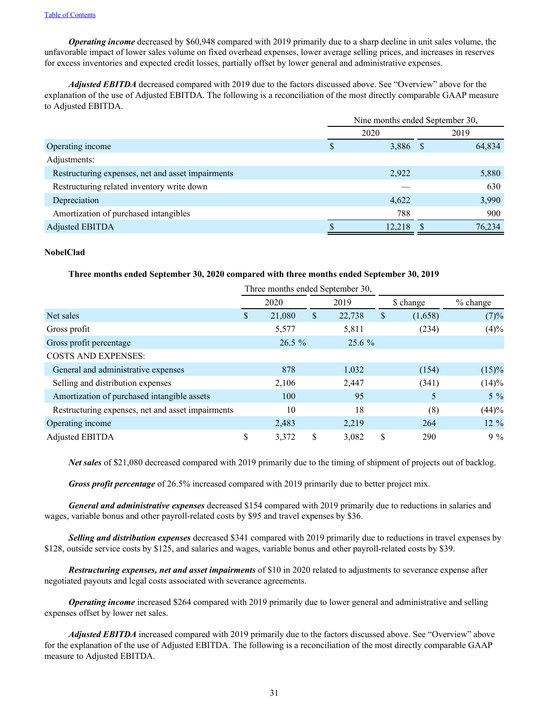*Operating income* decreased by \$60,948 compared with 2019 primarily due to a sharp decline in unit sales volume, the unfavorable impact of lower sales volume on fixed overhead expenses, lower average selling prices, and increases in reserves for excess inventories and expected credit losses, partially offset by lower general and administrative expenses.

*Adjusted EBITDA* decreased compared with 2019 due to the factors discussed above. See "Overview" above for the explanation of the use of Adjusted EBITDA. The following is a reconciliation of the most directly comparable GAAP measure to Adjusted EBITDA.

|                                                   | Nine months ended September 30, |          |  |        |  |
|---------------------------------------------------|---------------------------------|----------|--|--------|--|
|                                                   | 2020                            |          |  | 2019   |  |
| Operating income                                  | S                               | 3,886 \$ |  | 64,834 |  |
| Adjustments:                                      |                                 |          |  |        |  |
| Restructuring expenses, net and asset impairments |                                 | 2,922    |  | 5,880  |  |
| Restructuring related inventory write down        |                                 |          |  | 630    |  |
| Depreciation                                      |                                 | 4,622    |  | 3,990  |  |
| Amortization of purchased intangibles             |                                 | 788      |  | 900    |  |
| <b>Adjusted EBITDA</b>                            |                                 | 12,218   |  | 76,234 |  |

## **NobelClad**

# **Three months ended September 30, 2020 compared with three months ended September 30, 2019**

|                                                   |    |          |    | Three months ended September 30, |    |           |            |  |
|---------------------------------------------------|----|----------|----|----------------------------------|----|-----------|------------|--|
|                                                   |    | 2020     |    | 2019                             |    | \$ change | $%$ change |  |
| Net sales                                         | \$ | 21,080   | \$ | 22,738                           | \$ | (1,658)   | (7)%       |  |
| Gross profit                                      |    | 5,577    |    | 5,811                            |    | (234)     | (4)%       |  |
| Gross profit percentage                           |    | $26.5\%$ |    | $25.6\%$                         |    |           |            |  |
| <b>COSTS AND EXPENSES:</b>                        |    |          |    |                                  |    |           |            |  |
| General and administrative expenses               |    | 878      |    | 1,032                            |    | (154)     | $(15)\%$   |  |
| Selling and distribution expenses                 |    | 2,106    |    | 2,447                            |    | (341)     | (14)%      |  |
| Amortization of purchased intangible assets       |    | 100      |    | 95                               |    |           | $5\%$      |  |
| Restructuring expenses, net and asset impairments |    | 10       |    | 18                               |    | (8)       | (44)%      |  |
| Operating income                                  |    | 2,483    |    | 2,219                            |    | 264       | $12\%$     |  |
| <b>Adjusted EBITDA</b>                            | \$ | 3,372    | \$ | 3,082                            | \$ | 290       | $9\%$      |  |

*Net sales* of \$21,080 decreased compared with 2019 primarily due to the timing of shipment of projects out of backlog.

*Gross profit percentage* of 26.5% increased compared with 2019 primarily due to better project mix.

*General and administrative expenses* decreased \$154 compared with 2019 primarily due to reductions in salaries and wages, variable bonus and other payroll-related costs by \$95 and travel expenses by \$36.

*Selling and distribution expenses* decreased \$341 compared with 2019 primarily due to reductions in travel expenses by \$128, outside service costs by \$125, and salaries and wages, variable bonus and other payroll-related costs by \$39.

*Restructuring expenses, net and asset impairments* of \$10 in 2020 related to adjustments to severance expense after negotiated payouts and legal costs associated with severance agreements.

*Operating income* increased \$264 compared with 2019 primarily due to lower general and administrative and selling expenses offset by lower net sales.

*Adjusted EBITDA* increased compared with 2019 primarily due to the factors discussed above. See "Overview" above for the explanation of the use of Adjusted EBITDA. The following is a reconciliation of the most directly comparable GAAP measure to Adjusted EBITDA.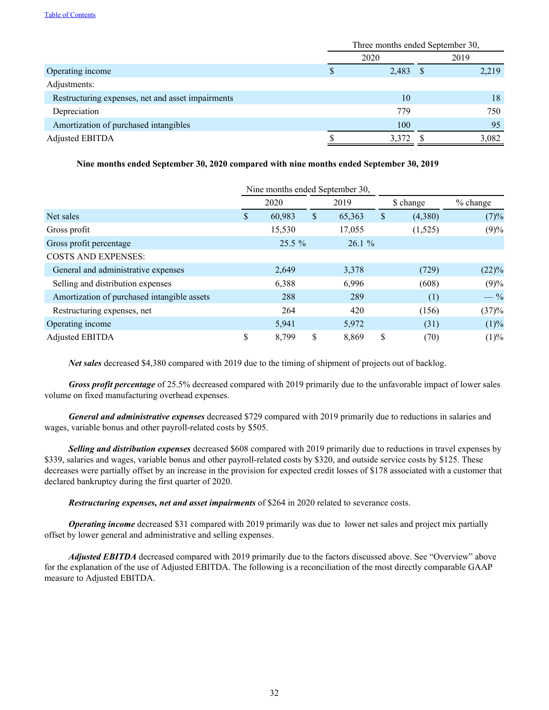|                                                   | Three months ended September 30, |       |      |       |  |
|---------------------------------------------------|----------------------------------|-------|------|-------|--|
|                                                   | 2020                             |       | 2019 |       |  |
| Operating income                                  |                                  | 2,483 | - \$ | 2,219 |  |
| Adjustments:                                      |                                  |       |      |       |  |
| Restructuring expenses, net and asset impairments |                                  | 10    |      | 18    |  |
| Depreciation                                      |                                  | 779   |      | 750   |  |
| Amortization of purchased intangibles             |                                  | 100   |      | 95    |  |
| Adjusted EBITDA                                   |                                  | 3,372 |      | 3,082 |  |

# **Nine months ended September 30, 2020 compared with nine months ended September 30, 2019**

|                                             |              |    | Nine months ended September 30, |    |           |            |
|---------------------------------------------|--------------|----|---------------------------------|----|-----------|------------|
|                                             | 2020         |    | 2019                            |    | \$ change | $%$ change |
| Net sales                                   | \$<br>60,983 | \$ | 65,363                          | \$ | (4,380)   | (7)%       |
| Gross profit                                | 15,530       |    | 17,055                          |    | (1,525)   | (9)%       |
| Gross profit percentage                     | $25.5\%$     |    | $26.1\%$                        |    |           |            |
| <b>COSTS AND EXPENSES:</b>                  |              |    |                                 |    |           |            |
| General and administrative expenses         | 2,649        |    | 3,378                           |    | (729)     | $(22)\%$   |
| Selling and distribution expenses           | 6,388        |    | 6,996                           |    | (608)     | (9)%       |
| Amortization of purchased intangible assets | 288          |    | 289                             |    | (1)       | $-$ %      |
| Restructuring expenses, net                 | 264          |    | 420                             |    | (156)     | (37)%      |
| Operating income                            | 5,941        |    | 5,972                           |    | (31)      | (1)%       |
| <b>Adjusted EBITDA</b>                      | \$<br>8.799  | \$ | 8.869                           | \$ | (70)      | (1)%       |

*Net sales* decreased \$4,380 compared with 2019 due to the timing of shipment of projects out of backlog.

*Gross profit percentage* of 25.5% decreased compared with 2019 primarily due to the unfavorable impact of lower sales volume on fixed manufacturing overhead expenses.

*General and administrative expenses* decreased \$729 compared with 2019 primarily due to reductions in salaries and wages, variable bonus and other payroll-related costs by \$505.

*Selling and distribution expenses* decreased \$608 compared with 2019 primarily due to reductions in travel expenses by \$339, salaries and wages, variable bonus and other payroll-related costs by \$320, and outside service costs by \$125. These decreases were partially offset by an increase in the provision for expected credit losses of \$178 associated with a customer that declared bankruptcy during the first quarter of 2020.

*Restructuring expenses, net and asset impairments* of \$264 in 2020 related to severance costs.

*Operating income* decreased \$31 compared with 2019 primarily was due to lower net sales and project mix partially offset by lower general and administrative and selling expenses.

*Adjusted EBITDA* decreased compared with 2019 primarily due to the factors discussed above. See "Overview" above for the explanation of the use of Adjusted EBITDA. The following is a reconciliation of the most directly comparable GAAP measure to Adjusted EBITDA.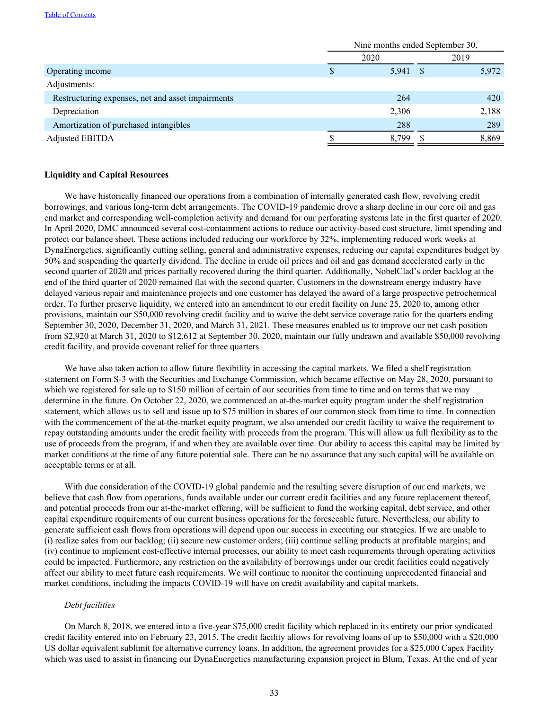|                                                   | Nine months ended September 30, |       |      |       |  |
|---------------------------------------------------|---------------------------------|-------|------|-------|--|
|                                                   | 2020                            |       | 2019 |       |  |
| Operating income                                  |                                 | 5,941 | - \$ | 5,972 |  |
| Adjustments:                                      |                                 |       |      |       |  |
| Restructuring expenses, net and asset impairments |                                 | 264   |      | 420   |  |
| Depreciation                                      |                                 | 2,306 |      | 2,188 |  |
| Amortization of purchased intangibles             |                                 | 288   |      | 289   |  |
| Adjusted EBITDA                                   |                                 | 8.799 |      | 8,869 |  |

### **Liquidity and Capital Resources**

We have historically financed our operations from a combination of internally generated cash flow, revolving credit borrowings, and various long-term debt arrangements. The COVID-19 pandemic drove a sharp decline in our core oil and gas end market and corresponding well-completion activity and demand for our perforating systems late in the first quarter of 2020. In April 2020, DMC announced several cost-containment actions to reduce our activity-based cost structure, limit spending and protect our balance sheet. These actions included reducing our workforce by 32%, implementing reduced work weeks at DynaEnergetics, significantly cutting selling, general and administrative expenses, reducing our capital expenditures budget by 50% and suspending the quarterly dividend. The decline in crude oil prices and oil and gas demand accelerated early in the second quarter of 2020 and prices partially recovered during the third quarter. Additionally, NobelClad's order backlog at the end of the third quarter of 2020 remained flat with the second quarter. Customers in the downstream energy industry have delayed various repair and maintenance projects and one customer has delayed the award of a large prospective petrochemical order. To further preserve liquidity, we entered into an amendment to our credit facility on June 25, 2020 to, among other provisions, maintain our \$50,000 revolving credit facility and to waive the debt service coverage ratio for the quarters ending September 30, 2020, December 31, 2020, and March 31, 2021. These measures enabled us to improve our net cash position from \$2,920 at March 31, 2020 to \$12,612 at September 30, 2020, maintain our fully undrawn and available \$50,000 revolving credit facility, and provide covenant relief for three quarters.

We have also taken action to allow future flexibility in accessing the capital markets. We filed a shelf registration statement on Form S-3 with the Securities and Exchange Commission, which became effective on May 28, 2020, pursuant to which we registered for sale up to \$150 million of certain of our securities from time to time and on terms that we may determine in the future. On October 22, 2020, we commenced an at-the-market equity program under the shelf registration statement, which allows us to sell and issue up to \$75 million in shares of our common stock from time to time. In connection with the commencement of the at-the-market equity program, we also amended our credit facility to waive the requirement to repay outstanding amounts under the credit facility with proceeds from the program. This will allow us full flexibility as to the use of proceeds from the program, if and when they are available over time. Our ability to access this capital may be limited by market conditions at the time of any future potential sale. There can be no assurance that any such capital will be available on acceptable terms or at all.

With due consideration of the COVID-19 global pandemic and the resulting severe disruption of our end markets, we believe that cash flow from operations, funds available under our current credit facilities and any future replacement thereof, and potential proceeds from our at-the-market offering, will be sufficient to fund the working capital, debt service, and other capital expenditure requirements of our current business operations for the foreseeable future. Nevertheless, our ability to generate sufficient cash flows from operations will depend upon our success in executing our strategies. If we are unable to (i) realize sales from our backlog; (ii) secure new customer orders; (iii) continue selling products at profitable margins; and (iv) continue to implement cost-effective internal processes, our ability to meet cash requirements through operating activities could be impacted. Furthermore, any restriction on the availability of borrowings under our credit facilities could negatively affect our ability to meet future cash requirements. We will continue to monitor the continuing unprecedented financial and market conditions, including the impacts COVID-19 will have on credit availability and capital markets.

#### *Debt facilities*

On March 8, 2018, we entered into a five-year \$75,000 credit facility which replaced in its entirety our prior syndicated credit facility entered into on February 23, 2015. The credit facility allows for revolving loans of up to \$50,000 with a \$20,000 US dollar equivalent sublimit for alternative currency loans. In addition, the agreement provides for a \$25,000 Capex Facility which was used to assist in financing our DynaEnergetics manufacturing expansion project in Blum, Texas. At the end of year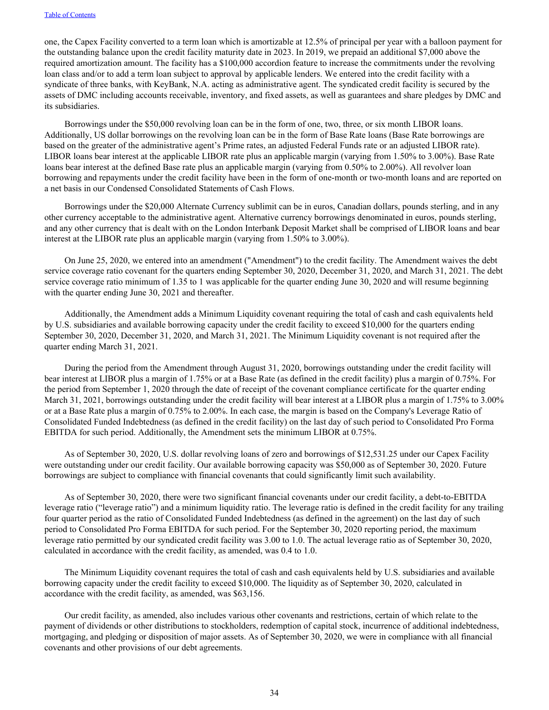one, the Capex Facility converted to a term loan which is amortizable at 12.5% of principal per year with a balloon payment for the outstanding balance upon the credit facility maturity date in 2023. In 2019, we prepaid an additional \$7,000 above the required amortization amount. The facility has a \$100,000 accordion feature to increase the commitments under the revolving loan class and/or to add a term loan subject to approval by applicable lenders. We entered into the credit facility with a syndicate of three banks, with KeyBank, N.A. acting as administrative agent. The syndicated credit facility is secured by the assets of DMC including accounts receivable, inventory, and fixed assets, as well as guarantees and share pledges by DMC and its subsidiaries.

Borrowings under the \$50,000 revolving loan can be in the form of one, two, three, or six month LIBOR loans. Additionally, US dollar borrowings on the revolving loan can be in the form of Base Rate loans (Base Rate borrowings are based on the greater of the administrative agent's Prime rates, an adjusted Federal Funds rate or an adjusted LIBOR rate). LIBOR loans bear interest at the applicable LIBOR rate plus an applicable margin (varying from 1.50% to 3.00%). Base Rate loans bear interest at the defined Base rate plus an applicable margin (varying from 0.50% to 2.00%). All revolver loan borrowing and repayments under the credit facility have been in the form of one-month or two-month loans and are reported on a net basis in our Condensed Consolidated Statements of Cash Flows.

Borrowings under the \$20,000 Alternate Currency sublimit can be in euros, Canadian dollars, pounds sterling, and in any other currency acceptable to the administrative agent. Alternative currency borrowings denominated in euros, pounds sterling, and any other currency that is dealt with on the London Interbank Deposit Market shall be comprised of LIBOR loans and bear interest at the LIBOR rate plus an applicable margin (varying from 1.50% to 3.00%).

On June 25, 2020, we entered into an amendment ("Amendment") to the credit facility. The Amendment waives the debt service coverage ratio covenant for the quarters ending September 30, 2020, December 31, 2020, and March 31, 2021. The debt service coverage ratio minimum of 1.35 to 1 was applicable for the quarter ending June 30, 2020 and will resume beginning with the quarter ending June 30, 2021 and thereafter.

Additionally, the Amendment adds a Minimum Liquidity covenant requiring the total of cash and cash equivalents held by U.S. subsidiaries and available borrowing capacity under the credit facility to exceed \$10,000 for the quarters ending September 30, 2020, December 31, 2020, and March 31, 2021. The Minimum Liquidity covenant is not required after the quarter ending March 31, 2021.

During the period from the Amendment through August 31, 2020, borrowings outstanding under the credit facility will bear interest at LIBOR plus a margin of 1.75% or at a Base Rate (as defined in the credit facility) plus a margin of 0.75%. For the period from September 1, 2020 through the date of receipt of the covenant compliance certificate for the quarter ending March 31, 2021, borrowings outstanding under the credit facility will bear interest at a LIBOR plus a margin of 1.75% to 3.00% or at a Base Rate plus a margin of 0.75% to 2.00%. In each case, the margin is based on the Company's Leverage Ratio of Consolidated Funded Indebtedness (as defined in the credit facility) on the last day of such period to Consolidated Pro Forma EBITDA for such period. Additionally, the Amendment sets the minimum LIBOR at 0.75%.

As of September 30, 2020, U.S. dollar revolving loans of zero and borrowings of \$12,531.25 under our Capex Facility were outstanding under our credit facility. Our available borrowing capacity was \$50,000 as of September 30, 2020. Future borrowings are subject to compliance with financial covenants that could significantly limit such availability.

As of September 30, 2020, there were two significant financial covenants under our credit facility, a debt-to-EBITDA leverage ratio ("leverage ratio") and a minimum liquidity ratio. The leverage ratio is defined in the credit facility for any trailing four quarter period as the ratio of Consolidated Funded Indebtedness (as defined in the agreement) on the last day of such period to Consolidated Pro Forma EBITDA for such period. For the September 30, 2020 reporting period, the maximum leverage ratio permitted by our syndicated credit facility was 3.00 to 1.0. The actual leverage ratio as of September 30, 2020, calculated in accordance with the credit facility, as amended, was 0.4 to 1.0.

The Minimum Liquidity covenant requires the total of cash and cash equivalents held by U.S. subsidiaries and available borrowing capacity under the credit facility to exceed \$10,000. The liquidity as of September 30, 2020, calculated in accordance with the credit facility, as amended, was \$63,156.

Our credit facility, as amended, also includes various other covenants and restrictions, certain of which relate to the payment of dividends or other distributions to stockholders, redemption of capital stock, incurrence of additional indebtedness, mortgaging, and pledging or disposition of major assets. As of September 30, 2020, we were in compliance with all financial covenants and other provisions of our debt agreements.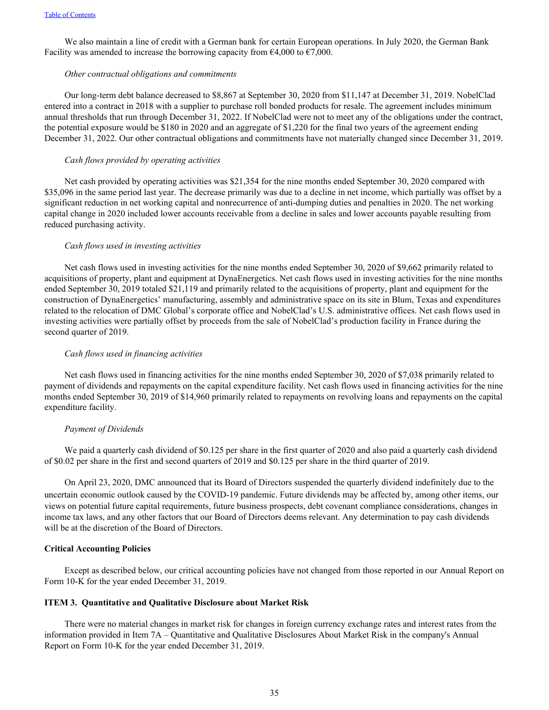<span id="page-35-0"></span>We also maintain a line of credit with a German bank for certain European operations. In July 2020, the German Bank Facility was amended to increase the borrowing capacity from  $\epsilon$ 4,000 to  $\epsilon$ 7,000.

#### *Other contractual obligations and commitments*

Our long-term debt balance decreased to \$8,867 at September 30, 2020 from \$11,147 at December 31, 2019. NobelClad entered into a contract in 2018 with a supplier to purchase roll bonded products for resale. The agreement includes minimum annual thresholds that run through December 31, 2022. If NobelClad were not to meet any of the obligations under the contract, the potential exposure would be \$180 in 2020 and an aggregate of \$1,220 for the final two years of the agreement ending December 31, 2022. Our other contractual obligations and commitments have not materially changed since December 31, 2019.

#### *Cash flows provided by operating activities*

Net cash provided by operating activities was \$21,354 for the nine months ended September 30, 2020 compared with \$35,096 in the same period last year. The decrease primarily was due to a decline in net income, which partially was offset by a significant reduction in net working capital and nonrecurrence of anti-dumping duties and penalties in 2020. The net working capital change in 2020 included lower accounts receivable from a decline in sales and lower accounts payable resulting from reduced purchasing activity.

#### *Cash flows used in investing activities*

Net cash flows used in investing activities for the nine months ended September 30, 2020 of \$9,662 primarily related to acquisitions of property, plant and equipment at DynaEnergetics. Net cash flows used in investing activities for the nine months ended September 30, 2019 totaled \$21,119 and primarily related to the acquisitions of property, plant and equipment for the construction of DynaEnergetics' manufacturing, assembly and administrative space on its site in Blum, Texas and expenditures related to the relocation of DMC Global's corporate office and NobelClad's U.S. administrative offices. Net cash flows used in investing activities were partially offset by proceeds from the sale of NobelClad's production facility in France during the second quarter of 2019.

#### *Cash flows used in financing activities*

Net cash flows used in financing activities for the nine months ended September 30, 2020 of \$7,038 primarily related to payment of dividends and repayments on the capital expenditure facility. Net cash flows used in financing activities for the nine months ended September 30, 2019 of \$14,960 primarily related to repayments on revolving loans and repayments on the capital expenditure facility.

#### *Payment of Dividends*

We paid a quarterly cash dividend of \$0.125 per share in the first quarter of 2020 and also paid a quarterly cash dividend of \$0.02 per share in the first and second quarters of 2019 and \$0.125 per share in the third quarter of 2019.

On April 23, 2020, DMC announced that its Board of Directors suspended the quarterly dividend indefinitely due to the uncertain economic outlook caused by the COVID-19 pandemic. Future dividends may be affected by, among other items, our views on potential future capital requirements, future business prospects, debt covenant compliance considerations, changes in income tax laws, and any other factors that our Board of Directors deems relevant. Any determination to pay cash dividends will be at the discretion of the Board of Directors.

#### **Critical Accounting Policies**

Except as described below, our critical accounting policies have not changed from those reported in our Annual Report on Form 10-K for the year ended December 31, 2019.

#### **ITEM 3. Quantitative and Qualitative Disclosure about Market Risk**

There were no material changes in market risk for changes in foreign currency exchange rates and interest rates from the information provided in Item 7A – Quantitative and Qualitative Disclosures About Market Risk in the company's Annual Report on Form 10-K for the year ended December 31, 2019.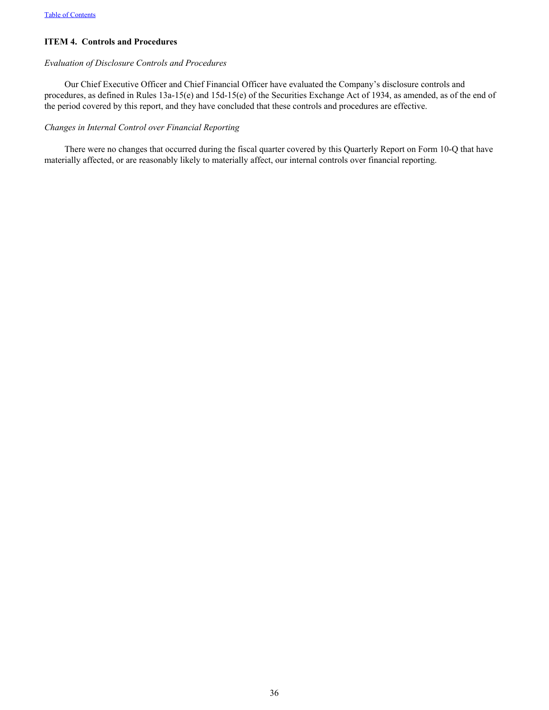# <span id="page-36-0"></span>**ITEM 4. Controls and Procedures**

# *Evaluation of Disclosure Controls and Procedures*

Our Chief Executive Officer and Chief Financial Officer have evaluated the Company's disclosure controls and procedures, as defined in Rules 13a-15(e) and 15d-15(e) of the Securities Exchange Act of 1934, as amended, as of the end of the period covered by this report, and they have concluded that these controls and procedures are effective.

## *Changes in Internal Control over Financial Reporting*

There were no changes that occurred during the fiscal quarter covered by this Quarterly Report on Form 10-Q that have materially affected, or are reasonably likely to materially affect, our internal controls over financial reporting.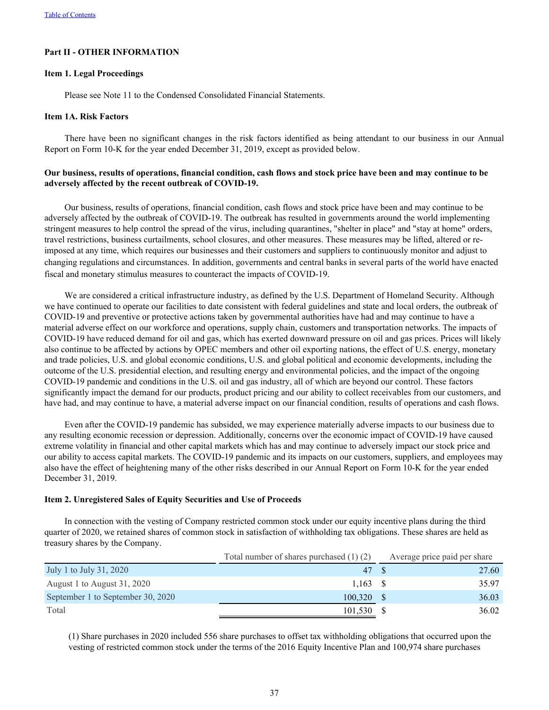# <span id="page-37-0"></span>**Part II - OTHER INFORMATION**

### **Item 1. Legal Proceedings**

Please see Note 11 to the Condensed Consolidated Financial Statements.

#### **Item 1A. Risk Factors**

There have been no significant changes in the risk factors identified as being attendant to our business in our Annual Report on Form 10-K for the year ended December 31, 2019, except as provided below.

# **Our business, results of operations, financial condition, cash flows and stock price have been and may continue to be adversely affected by the recent outbreak of COVID-19.**

Our business, results of operations, financial condition, cash flows and stock price have been and may continue to be adversely affected by the outbreak of COVID-19. The outbreak has resulted in governments around the world implementing stringent measures to help control the spread of the virus, including quarantines, "shelter in place" and "stay at home" orders, travel restrictions, business curtailments, school closures, and other measures. These measures may be lifted, altered or reimposed at any time, which requires our businesses and their customers and suppliers to continuously monitor and adjust to changing regulations and circumstances. In addition, governments and central banks in several parts of the world have enacted fiscal and monetary stimulus measures to counteract the impacts of COVID-19.

We are considered a critical infrastructure industry, as defined by the U.S. Department of Homeland Security. Although we have continued to operate our facilities to date consistent with federal guidelines and state and local orders, the outbreak of COVID-19 and preventive or protective actions taken by governmental authorities have had and may continue to have a material adverse effect on our workforce and operations, supply chain, customers and transportation networks. The impacts of COVID-19 have reduced demand for oil and gas, which has exerted downward pressure on oil and gas prices. Prices will likely also continue to be affected by actions by OPEC members and other oil exporting nations, the effect of U.S. energy, monetary and trade policies, U.S. and global economic conditions, U.S. and global political and economic developments, including the outcome of the U.S. presidential election, and resulting energy and environmental policies, and the impact of the ongoing COVID-19 pandemic and conditions in the U.S. oil and gas industry, all of which are beyond our control. These factors significantly impact the demand for our products, product pricing and our ability to collect receivables from our customers, and have had, and may continue to have, a material adverse impact on our financial condition, results of operations and cash flows.

Even after the COVID-19 pandemic has subsided, we may experience materially adverse impacts to our business due to any resulting economic recession or depression. Additionally, concerns over the economic impact of COVID-19 have caused extreme volatility in financial and other capital markets which has and may continue to adversely impact our stock price and our ability to access capital markets. The COVID-19 pandemic and its impacts on our customers, suppliers, and employees may also have the effect of heightening many of the other risks described in our Annual Report on Form 10-K for the year ended December 31, 2019.

## **Item 2. Unregistered Sales of Equity Securities and Use of Proceeds**

In connection with the vesting of Company restricted common stock under our equity incentive plans during the third quarter of 2020, we retained shares of common stock in satisfaction of withholding tax obligations. These shares are held as treasury shares by the Company.

|                                   | Total number of shares purchased $(1)$ $(2)$ | Average price paid per share |
|-----------------------------------|----------------------------------------------|------------------------------|
| July 1 to July 31, 2020           | 47                                           | 27.60                        |
| August 1 to August 31, 2020       | 1.163                                        | 35.97                        |
| September 1 to September 30, 2020 | 100.320                                      | 36.03                        |
| Total                             | 101,530                                      | 36.02                        |

(1) Share purchases in 2020 included 556 share purchases to offset tax withholding obligations that occurred upon the vesting of restricted common stock under the terms of the 2016 Equity Incentive Plan and 100,974 share purchases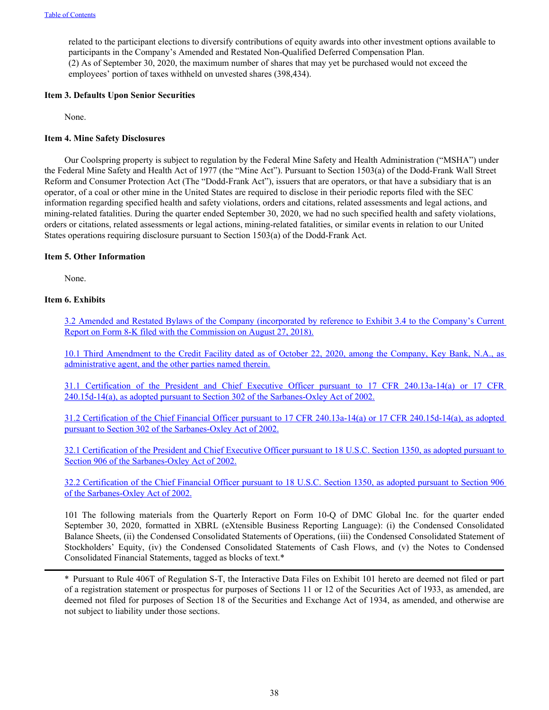<span id="page-38-0"></span>related to the participant elections to diversify contributions of equity awards into other investment options available to participants in the Company's Amended and Restated Non-Qualified Deferred Compensation Plan. (2) As of September 30, 2020, the maximum number of shares that may yet be purchased would not exceed the employees' portion of taxes withheld on unvested shares (398,434).

# **Item 3. Defaults Upon Senior Securities**

None.

# **Item 4. Mine Safety Disclosures**

Our Coolspring property is subject to regulation by the Federal Mine Safety and Health Administration ("MSHA") under the Federal Mine Safety and Health Act of 1977 (the "Mine Act"). Pursuant to Section 1503(a) of the Dodd-Frank Wall Street Reform and Consumer Protection Act (The "Dodd-Frank Act"), issuers that are operators, or that have a subsidiary that is an operator, of a coal or other mine in the United States are required to disclose in their periodic reports filed with the SEC information regarding specified health and safety violations, orders and citations, related assessments and legal actions, and mining-related fatalities. During the quarter ended September 30, 2020, we had no such specified health and safety violations, orders or citations, related assessments or legal actions, mining-related fatalities, or similar events in relation to our United States operations requiring disclosure pursuant to Section 1503(a) of the Dodd-Frank Act.

# **Item 5. Other Information**

None.

# **Item 6. Exhibits**

[3.2 Amended and Restated Bylaws of the Company \(incorporated by reference to Exhibit 3.4 to the Company's Curre](https://www.sec.gov/Archives/edgar/data/34067/000003406718000028/dmcamendedandrestatedbylaws.htm)nt [Report on Form 8-K filed with the Commission on August 27, 2018\).](https://www.sec.gov/Archives/edgar/data/34067/000003406718000028/dmcamendedandrestatedbylaws.htm)

[10.1 Third Amendment to the Credit Facility dated as of October 22, 2020, among the Company, Key Bank, N.A](wurl://docs.v1/doc:5cefc5913dec45afb944c1f8448d1d2b)., as [administrative agent, and the other parties named therein.](wurl://docs.v1/doc:5cefc5913dec45afb944c1f8448d1d2b)

[31.1 Certification of the President and Chief Executive Officer pursuant to 17 CFR 240.13a-14\(a\)](wurl://docs.v1/doc:cfd513f587ce4a88b85724b06e0285ff) or 17 CFR [240.15d-14\(a\), as adopted pursuant to Section 302 of the Sarbanes-Oxley Act of 2002.](wurl://docs.v1/doc:cfd513f587ce4a88b85724b06e0285ff)

[31.2 Certification of the Chief Financial Officer pursuant to 17 CFR 240.13a-14\(a\) or 17 CFR 240.15d-14\(a\), as adopted](wurl://docs.v1/doc:e39a91cfc0554e9f855bc42e25c97775) [pursuant to Section 302 of the Sarbanes-Oxley Act of 2002.](wurl://docs.v1/doc:e39a91cfc0554e9f855bc42e25c97775)

[32.1 Certification of the President and Chief Executive Officer pursuant to 18 U.S.C. Section 1350, as adopted pursuant to](wurl://docs.v1/doc:9b829739b8f04d739661c039feb3b196)  [Section 906 of the Sarbanes-Oxley Act of 2002.](wurl://docs.v1/doc:9b829739b8f04d739661c039feb3b196)

[32.2 Certification of the Chief Financial Officer pursuant to 18 U.S.C. Section 1350, as adopted pursuant to Section 90](wurl://docs.v1/doc:b8344b355a1049cb9d27c94e14efa534)6 [of the Sarbanes-Oxley Act of 2002.](wurl://docs.v1/doc:b8344b355a1049cb9d27c94e14efa534)

101 The following materials from the Quarterly Report on Form 10-Q of DMC Global Inc. for the quarter ended September 30, 2020, formatted in XBRL (eXtensible Business Reporting Language): (i) the Condensed Consolidated Balance Sheets, (ii) the Condensed Consolidated Statements of Operations, (iii) the Condensed Consolidated Statement of Stockholders' Equity, (iv) the Condensed Consolidated Statements of Cash Flows, and (v) the Notes to Condensed Consolidated Financial Statements, tagged as blocks of text.\*

\* Pursuant to Rule 406T of Regulation S-T, the Interactive Data Files on Exhibit 101 hereto are deemed not filed or part of a registration statement or prospectus for purposes of Sections 11 or 12 of the Securities Act of 1933, as amended, are deemed not filed for purposes of Section 18 of the Securities and Exchange Act of 1934, as amended, and otherwise are not subject to liability under those sections.